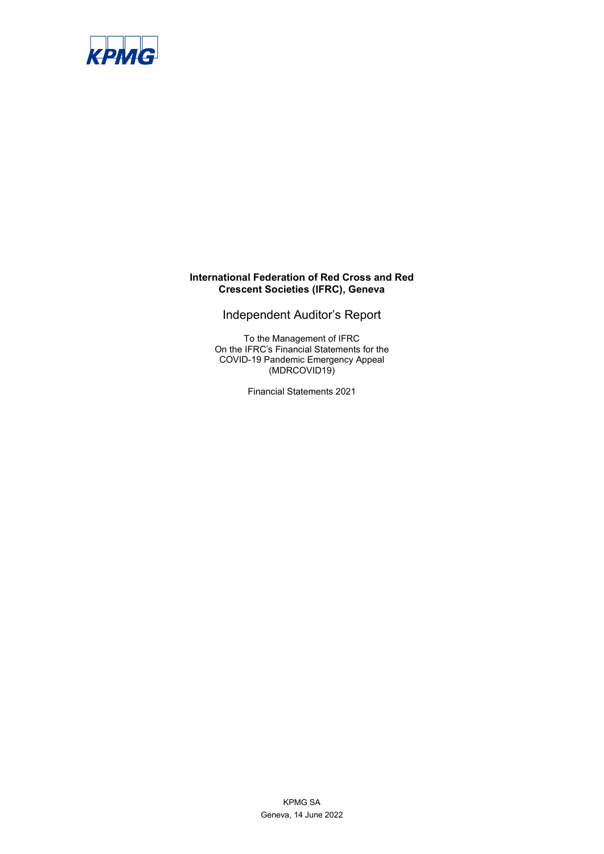

# **International Federation of Red Cross and Red Crescent Societies (IFRC), Geneva**

Independent Auditor's Report

To the Management of IFRC On the IFRC's Financial Statements for the COVID-19 Pandemic Emergency Appeal (MDRCOVID19)

Financial Statements 2021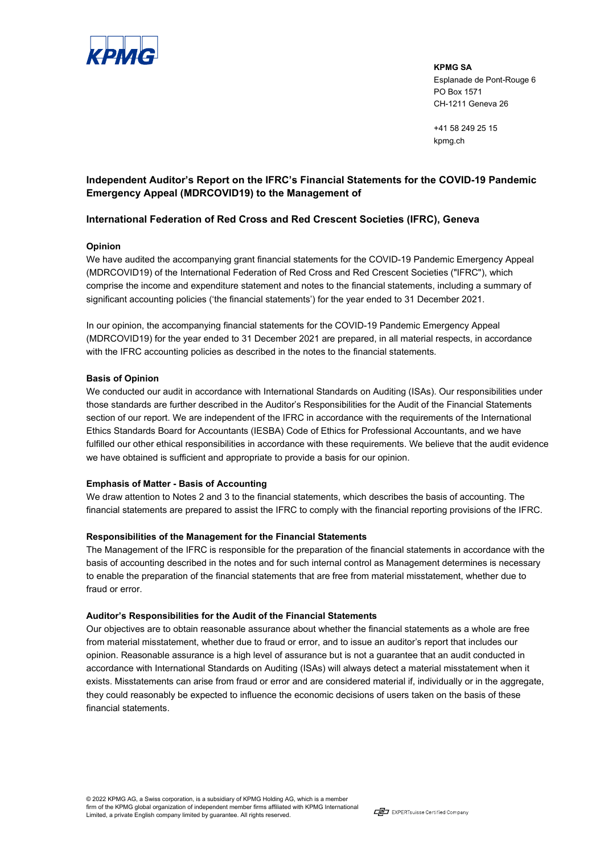

**KPMG SA** Esplanade de Pont-Rouge 6 PO Box 1571 CH-1211 Geneva 26

+41 58 249 25 15 kpmg.ch

# **Independent Auditor's Report on the IFRC's Financial Statements for the COVID-19 Pandemic Emergency Appeal (MDRCOVID19) to the Management of**

## **International Federation of Red Cross and Red Crescent Societies (IFRC), Geneva**

#### **Opinion**

We have audited the accompanying grant financial statements for the COVID-19 Pandemic Emergency Appeal (MDRCOVID19) of the International Federation of Red Cross and Red Crescent Societies ("IFRC"), which comprise the income and expenditure statement and notes to the financial statements, including a summary of significant accounting policies ('the financial statements') for the year ended to 31 December 2021.

In our opinion, the accompanying financial statements for the COVID-19 Pandemic Emergency Appeal (MDRCOVID19) for the year ended to 31 December 2021 are prepared, in all material respects, in accordance with the IFRC accounting policies as described in the notes to the financial statements.

#### **Basis of Opinion**

We conducted our audit in accordance with International Standards on Auditing (ISAs). Our responsibilities under those standards are further described in the Auditor's Responsibilities for the Audit of the Financial Statements section of our report. We are independent of the IFRC in accordance with the requirements of the International Ethics Standards Board for Accountants (IESBA) Code of Ethics for Professional Accountants, and we have fulfilled our other ethical responsibilities in accordance with these requirements. We believe that the audit evidence we have obtained is sufficient and appropriate to provide a basis for our opinion.

### **Emphasis of Matter - Basis of Accounting**

We draw attention to Notes 2 and 3 to the financial statements, which describes the basis of accounting. The financial statements are prepared to assist the IFRC to comply with the financial reporting provisions of the IFRC.

### **Responsibilities of the Management for the Financial Statements**

The Management of the IFRC is responsible for the preparation of the financial statements in accordance with the basis of accounting described in the notes and for such internal control as Management determines is necessary to enable the preparation of the financial statements that are free from material misstatement, whether due to fraud or error.

#### **Auditor's Responsibilities for the Audit of the Financial Statements**

Our objectives are to obtain reasonable assurance about whether the financial statements as a whole are free from material misstatement, whether due to fraud or error, and to issue an auditor's report that includes our opinion. Reasonable assurance is a high level of assurance but is not a guarantee that an audit conducted in accordance with International Standards on Auditing (ISAs) will always detect a material misstatement when it exists. Misstatements can arise from fraud or error and are considered material if, individually or in the aggregate, they could reasonably be expected to influence the economic decisions of users taken on the basis of these financial statements.

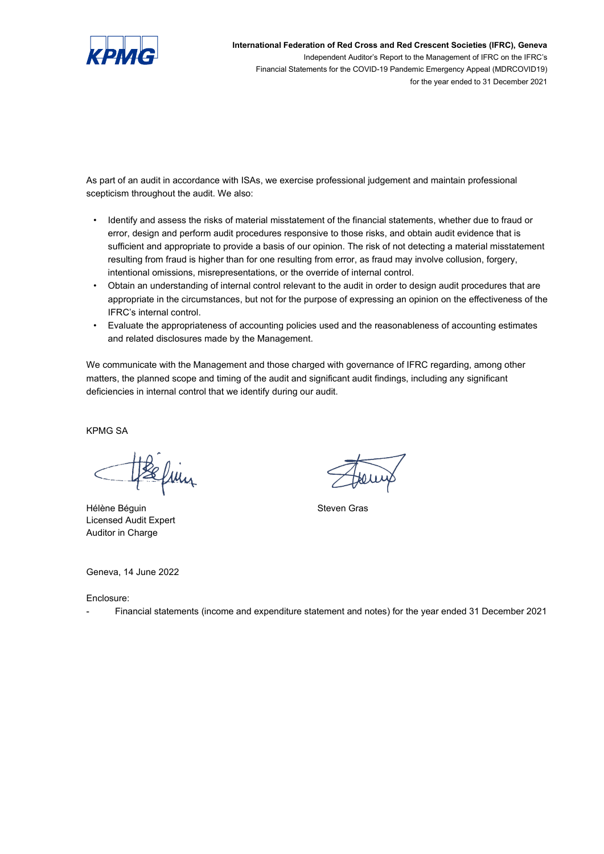

**International Federation of Red Cross and Red Crescent Societies (IFRC), Geneva** Independent Auditor's Report to the Management of IFRC on the IFRC's Financial Statements for the COVID-19 Pandemic Emergency Appeal (MDRCOVID19) for the year ended to 31 December 2021

As part of an audit in accordance with ISAs, we exercise professional judgement and maintain professional scepticism throughout the audit. We also:

- Identify and assess the risks of material misstatement of the financial statements, whether due to fraud or error, design and perform audit procedures responsive to those risks, and obtain audit evidence that is sufficient and appropriate to provide a basis of our opinion. The risk of not detecting a material misstatement resulting from fraud is higher than for one resulting from error, as fraud may involve collusion, forgery, intentional omissions, misrepresentations, or the override of internal control.
- Obtain an understanding of internal control relevant to the audit in order to design audit procedures that are appropriate in the circumstances, but not for the purpose of expressing an opinion on the effectiveness of the IFRC's internal control.
- Evaluate the appropriateness of accounting policies used and the reasonableness of accounting estimates and related disclosures made by the Management.

We communicate with the Management and those charged with governance of IFRC regarding, among other matters, the planned scope and timing of the audit and significant audit findings, including any significant deficiencies in internal control that we identify during our audit.

KPMG SA

Sefun

Hélène Béguin **Steven Gras** Licensed Audit Expert Auditor in Charge

Geneva, 14 June 2022

Enclosure:

- Financial statements (income and expenditure statement and notes) for the year ended 31 December 2021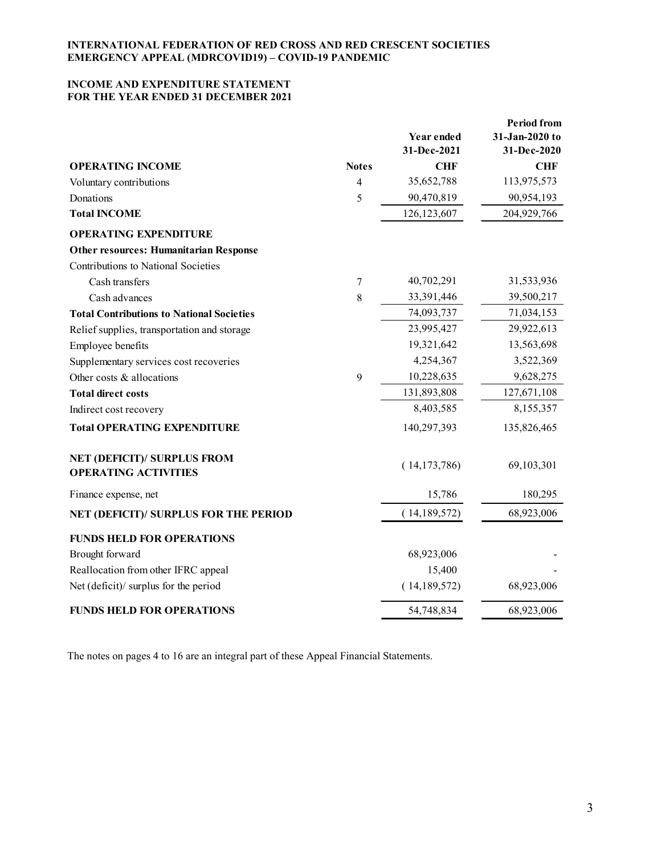## **INCOME AND EXPENDITURE STATEMENT FOR THE YEAR ENDED 31 DECEMBER 2021**

|                                                                   |              | Year ended<br>31-Dec-2021 | <b>Period from</b><br>31-Jan-2020 to<br>31-Dec-2020 |
|-------------------------------------------------------------------|--------------|---------------------------|-----------------------------------------------------|
| <b>OPERATING INCOME</b>                                           | <b>Notes</b> | <b>CHF</b>                | <b>CHF</b>                                          |
| Voluntary contributions                                           | 4            | 35,652,788                | 113,975,573                                         |
| Donations                                                         | 5            | 90,470,819                | 90,954,193                                          |
| <b>Total INCOME</b>                                               |              | 126,123,607               | 204,929,766                                         |
| <b>OPERATING EXPENDITURE</b>                                      |              |                           |                                                     |
| <b>Other resources: Humanitarian Response</b>                     |              |                           |                                                     |
| Contributions to National Societies                               |              |                           |                                                     |
| Cash transfers                                                    | 7            | 40,702,291                | 31,533,936                                          |
| Cash advances                                                     | 8            | 33,391,446                | 39,500,217                                          |
| <b>Total Contributions to National Societies</b>                  |              | 74,093,737                | 71,034,153                                          |
| Relief supplies, transportation and storage                       |              | 23,995,427                | 29,922,613                                          |
| Employee benefits                                                 |              | 19,321,642                | 13,563,698                                          |
| Supplementary services cost recoveries                            |              | 4,254,367                 | 3,522,369                                           |
| Other costs & allocations                                         | 9            | 10,228,635                | 9,628,275                                           |
| <b>Total direct costs</b>                                         |              | 131,893,808               | 127,671,108                                         |
| Indirect cost recovery                                            |              | 8,403,585                 | 8,155,357                                           |
| <b>Total OPERATING EXPENDITURE</b>                                |              | 140,297,393               | 135,826,465                                         |
| <b>NET (DEFICIT)/ SURPLUS FROM</b><br><b>OPERATING ACTIVITIES</b> |              | (14, 173, 786)            | 69,103,301                                          |
| Finance expense, net                                              |              | 15,786                    | 180,295                                             |
| NET (DEFICIT)/ SURPLUS FOR THE PERIOD                             |              | (14,189,572)              | 68,923,006                                          |
| <b>FUNDS HELD FOR OPERATIONS</b>                                  |              |                           |                                                     |
| Brought forward                                                   |              | 68,923,006                |                                                     |
| Reallocation from other IFRC appeal                               |              | 15,400                    |                                                     |
| Net (deficit)/ surplus for the period                             |              | (14, 189, 572)            | 68,923,006                                          |
| <b>FUNDS HELD FOR OPERATIONS</b>                                  |              | 54,748,834                | 68,923,006                                          |

The notes on pages 4 to 16 are an integral part of these Appeal Financial Statements.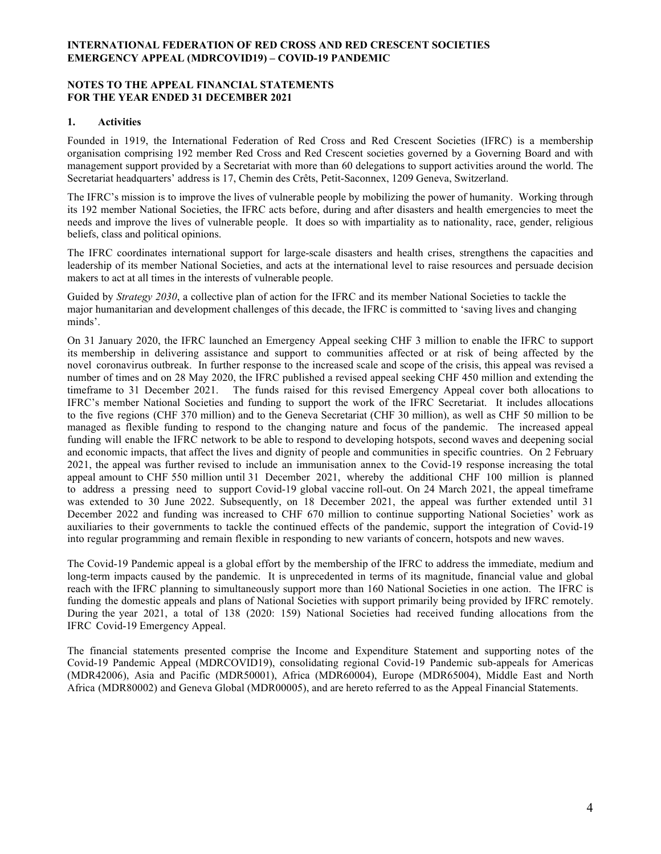### **NOTES TO THE APPEAL FINANCIAL STATEMENTS FOR THE YEAR ENDED 31 DECEMBER 2021**

### **1. Activities**

Founded in 1919, the International Federation of Red Cross and Red Crescent Societies (IFRC) is a membership organisation comprising 192 member Red Cross and Red Crescent societies governed by a Governing Board and with management support provided by a Secretariat with more than 60 delegations to support activities around the world. The Secretariat headquarters' address is 17, Chemin des Crêts, Petit-Saconnex, 1209 Geneva, Switzerland.

The IFRC's mission is to improve the lives of vulnerable people by mobilizing the power of humanity. Working through its 192 member National Societies, the IFRC acts before, during and after disasters and health emergencies to meet the needs and improve the lives of vulnerable people. It does so with impartiality as to nationality, race, gender, religious beliefs, class and political opinions.

The IFRC coordinates international support for large-scale disasters and health crises, strengthens the capacities and leadership of its member National Societies, and acts at the international level to raise resources and persuade decision makers to act at all times in the interests of vulnerable people.

Guided by *Strategy 2030*, a collective plan of action for the IFRC and its member National Societies to tackle the major humanitarian and development challenges of this decade, the IFRC is committed to 'saving lives and changing minds'.

On 31 January 2020, the IFRC launched an Emergency Appeal seeking CHF 3 million to enable the IFRC to support its membership in delivering assistance and support to communities affected or at risk of being affected by the novel coronavirus outbreak. In further response to the increased scale and scope of the crisis, this appeal was revised a number of times and on 28 May 2020, the IFRC published a revised appeal seeking CHF 450 million and extending the timeframe to 31 December 2021. The funds raised for this revised Emergency Appeal cover both allocations to IFRC's member National Societies and funding to support the work of the IFRC Secretariat. It includes allocations to the five regions (CHF 370 million) and to the Geneva Secretariat (CHF 30 million), as well as CHF 50 million to be managed as flexible funding to respond to the changing nature and focus of the pandemic. The increased appeal funding will enable the IFRC network to be able to respond to developing hotspots, second waves and deepening social and economic impacts, that affect the lives and dignity of people and communities in specific countries. On 2 February 2021, the appeal was further revised to include an immunisation annex to the Covid-19 response increasing the total appeal amount to CHF 550 million until 31 December 2021, whereby the additional CHF 100 million is planned to address a pressing need to support Covid-19 global vaccine roll-out. On 24 March 2021, the appeal timeframe was extended to 30 June 2022. Subsequently, on 18 December 2021, the appeal was further extended until 31 December 2022 and funding was increased to CHF 670 million to continue supporting National Societies' work as auxiliaries to their governments to tackle the continued effects of the pandemic, support the integration of Covid-19 into regular programming and remain flexible in responding to new variants of concern, hotspots and new waves.

The Covid-19 Pandemic appeal is a global effort by the membership of the IFRC to address the immediate, medium and long-term impacts caused by the pandemic. It is unprecedented in terms of its magnitude, financial value and global reach with the IFRC planning to simultaneously support more than 160 National Societies in one action. The IFRC is funding the domestic appeals and plans of National Societies with support primarily being provided by IFRC remotely. During the year 2021, a total of 138 (2020: 159) National Societies had received funding allocations from the IFRC Covid-19 Emergency Appeal.

The financial statements presented comprise the Income and Expenditure Statement and supporting notes of the Covid-19 Pandemic Appeal (MDRCOVID19), consolidating regional Covid-19 Pandemic sub-appeals for Americas (MDR42006), Asia and Pacific (MDR50001), Africa (MDR60004), Europe (MDR65004), Middle East and North Africa (MDR80002) and Geneva Global (MDR00005), and are hereto referred to as the Appeal Financial Statements.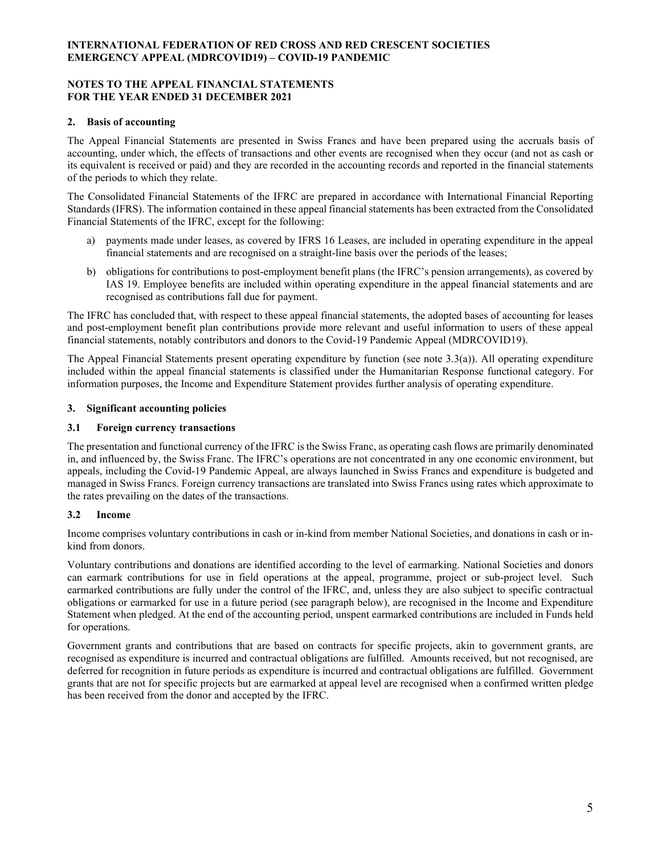### **NOTES TO THE APPEAL FINANCIAL STATEMENTS FOR THE YEAR ENDED 31 DECEMBER 2021**

## **2. Basis of accounting**

The Appeal Financial Statements are presented in Swiss Francs and have been prepared using the accruals basis of accounting, under which, the effects of transactions and other events are recognised when they occur (and not as cash or its equivalent is received or paid) and they are recorded in the accounting records and reported in the financial statements of the periods to which they relate.

The Consolidated Financial Statements of the IFRC are prepared in accordance with International Financial Reporting Standards (IFRS). The information contained in these appeal financial statements has been extracted from the Consolidated Financial Statements of the IFRC, except for the following:

- a) payments made under leases, as covered by IFRS 16 Leases, are included in operating expenditure in the appeal financial statements and are recognised on a straight-line basis over the periods of the leases;
- b) obligations for contributions to post-employment benefit plans (the IFRC's pension arrangements), as covered by IAS 19. Employee benefits are included within operating expenditure in the appeal financial statements and are recognised as contributions fall due for payment.

The IFRC has concluded that, with respect to these appeal financial statements, the adopted bases of accounting for leases and post-employment benefit plan contributions provide more relevant and useful information to users of these appeal financial statements, notably contributors and donors to the Covid-19 Pandemic Appeal (MDRCOVID19).

The Appeal Financial Statements present operating expenditure by function (see note 3.3(a)). All operating expenditure included within the appeal financial statements is classified under the Humanitarian Response functional category. For information purposes, the Income and Expenditure Statement provides further analysis of operating expenditure.

## **3. Significant accounting policies**

# **3.1 Foreign currency transactions**

The presentation and functional currency of the IFRC is the Swiss Franc, as operating cash flows are primarily denominated in, and influenced by, the Swiss Franc. The IFRC's operations are not concentrated in any one economic environment, but appeals, including the Covid-19 Pandemic Appeal, are always launched in Swiss Francs and expenditure is budgeted and managed in Swiss Francs. Foreign currency transactions are translated into Swiss Francs using rates which approximate to the rates prevailing on the dates of the transactions.

# **3.2 Income**

Income comprises voluntary contributions in cash or in-kind from member National Societies, and donations in cash or inkind from donors.

Voluntary contributions and donations are identified according to the level of earmarking. National Societies and donors can earmark contributions for use in field operations at the appeal, programme, project or sub-project level. Such earmarked contributions are fully under the control of the IFRC, and, unless they are also subject to specific contractual obligations or earmarked for use in a future period (see paragraph below), are recognised in the Income and Expenditure Statement when pledged. At the end of the accounting period, unspent earmarked contributions are included in Funds held for operations.

Government grants and contributions that are based on contracts for specific projects, akin to government grants, are recognised as expenditure is incurred and contractual obligations are fulfilled. Amounts received, but not recognised, are deferred for recognition in future periods as expenditure is incurred and contractual obligations are fulfilled. Government grants that are not for specific projects but are earmarked at appeal level are recognised when a confirmed written pledge has been received from the donor and accepted by the IFRC.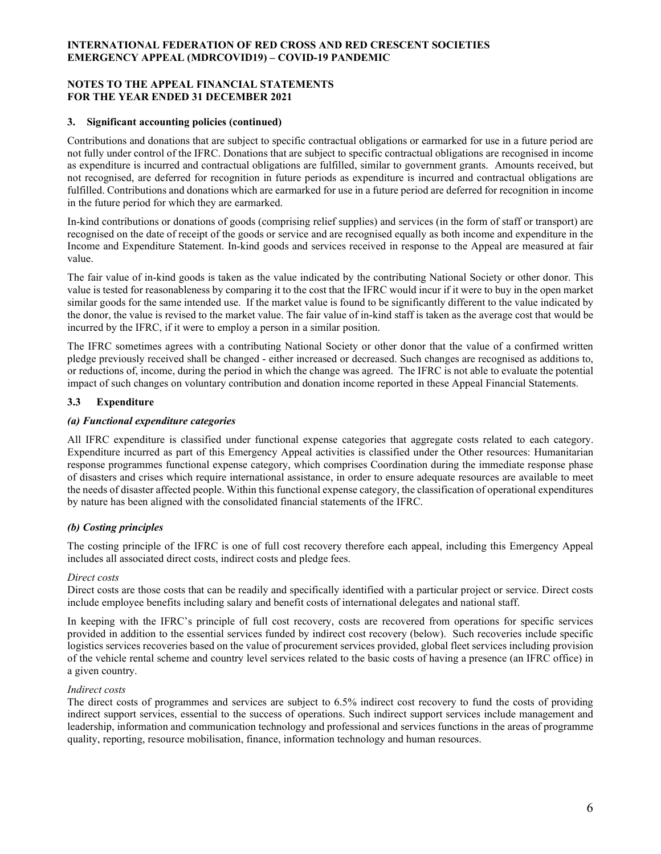### **NOTES TO THE APPEAL FINANCIAL STATEMENTS FOR THE YEAR ENDED 31 DECEMBER 2021**

### **3. Significant accounting policies (continued)**

Contributions and donations that are subject to specific contractual obligations or earmarked for use in a future period are not fully under control of the IFRC. Donations that are subject to specific contractual obligations are recognised in income as expenditure is incurred and contractual obligations are fulfilled, similar to government grants. Amounts received, but not recognised, are deferred for recognition in future periods as expenditure is incurred and contractual obligations are fulfilled. Contributions and donations which are earmarked for use in a future period are deferred for recognition in income in the future period for which they are earmarked.

In-kind contributions or donations of goods (comprising relief supplies) and services (in the form of staff or transport) are recognised on the date of receipt of the goods or service and are recognised equally as both income and expenditure in the Income and Expenditure Statement. In-kind goods and services received in response to the Appeal are measured at fair value.

The fair value of in-kind goods is taken as the value indicated by the contributing National Society or other donor. This value is tested for reasonableness by comparing it to the cost that the IFRC would incur if it were to buy in the open market similar goods for the same intended use. If the market value is found to be significantly different to the value indicated by the donor, the value is revised to the market value. The fair value of in-kind staff is taken as the average cost that would be incurred by the IFRC, if it were to employ a person in a similar position.

The IFRC sometimes agrees with a contributing National Society or other donor that the value of a confirmed written pledge previously received shall be changed - either increased or decreased. Such changes are recognised as additions to, or reductions of, income, during the period in which the change was agreed. The IFRC is not able to evaluate the potential impact of such changes on voluntary contribution and donation income reported in these Appeal Financial Statements.

## **3.3 Expenditure**

## *(a) Functional expenditure categories*

All IFRC expenditure is classified under functional expense categories that aggregate costs related to each category. Expenditure incurred as part of this Emergency Appeal activities is classified under the Other resources: Humanitarian response programmes functional expense category, which comprises Coordination during the immediate response phase of disasters and crises which require international assistance, in order to ensure adequate resources are available to meet the needs of disaster affected people. Within this functional expense category, the classification of operational expenditures by nature has been aligned with the consolidated financial statements of the IFRC.

# *(b) Costing principles*

The costing principle of the IFRC is one of full cost recovery therefore each appeal, including this Emergency Appeal includes all associated direct costs, indirect costs and pledge fees.

### *Direct costs*

Direct costs are those costs that can be readily and specifically identified with a particular project or service. Direct costs include employee benefits including salary and benefit costs of international delegates and national staff.

In keeping with the IFRC's principle of full cost recovery, costs are recovered from operations for specific services provided in addition to the essential services funded by indirect cost recovery (below). Such recoveries include specific logistics services recoveries based on the value of procurement services provided, global fleet services including provision of the vehicle rental scheme and country level services related to the basic costs of having a presence (an IFRC office) in a given country.

### *Indirect costs*

The direct costs of programmes and services are subject to 6.5% indirect cost recovery to fund the costs of providing indirect support services, essential to the success of operations. Such indirect support services include management and leadership, information and communication technology and professional and services functions in the areas of programme quality, reporting, resource mobilisation, finance, information technology and human resources.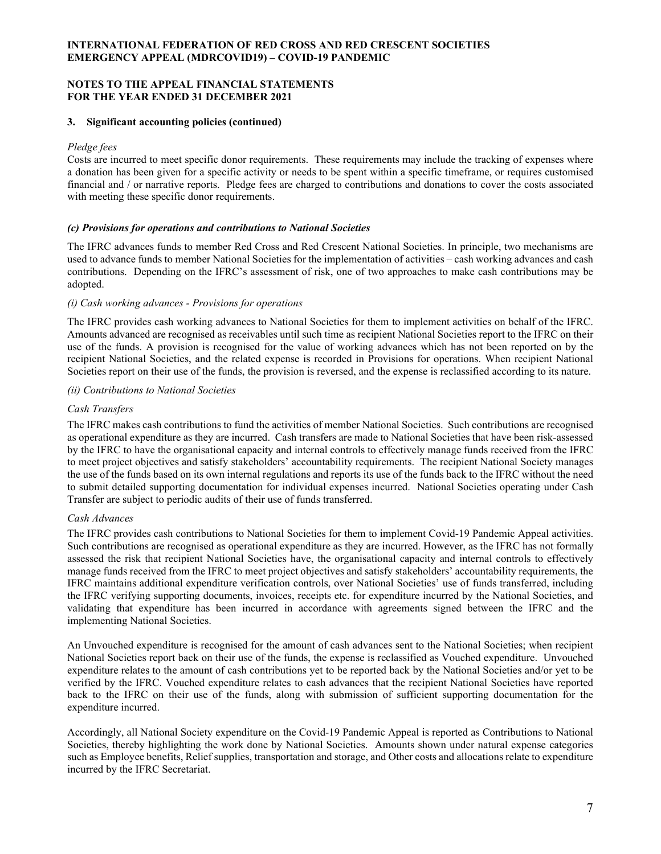### **NOTES TO THE APPEAL FINANCIAL STATEMENTS FOR THE YEAR ENDED 31 DECEMBER 2021**

### **3. Significant accounting policies (continued)**

### *Pledge fees*

Costs are incurred to meet specific donor requirements. These requirements may include the tracking of expenses where a donation has been given for a specific activity or needs to be spent within a specific timeframe, or requires customised financial and / or narrative reports. Pledge fees are charged to contributions and donations to cover the costs associated with meeting these specific donor requirements.

## *(c) Provisions for operations and contributions to National Societies*

The IFRC advances funds to member Red Cross and Red Crescent National Societies. In principle, two mechanisms are used to advance funds to member National Societies for the implementation of activities – cash working advances and cash contributions. Depending on the IFRC's assessment of risk, one of two approaches to make cash contributions may be adopted.

### *(i) Cash working advances - Provisions for operations*

The IFRC provides cash working advances to National Societies for them to implement activities on behalf of the IFRC. Amounts advanced are recognised as receivables until such time as recipient National Societies report to the IFRC on their use of the funds. A provision is recognised for the value of working advances which has not been reported on by the recipient National Societies, and the related expense is recorded in Provisions for operations. When recipient National Societies report on their use of the funds, the provision is reversed, and the expense is reclassified according to its nature.

## *(ii) Contributions to National Societies*

## *Cash Transfers*

The IFRC makes cash contributions to fund the activities of member National Societies. Such contributions are recognised as operational expenditure as they are incurred. Cash transfers are made to National Societies that have been risk-assessed by the IFRC to have the organisational capacity and internal controls to effectively manage funds received from the IFRC to meet project objectives and satisfy stakeholders' accountability requirements. The recipient National Society manages the use of the funds based on its own internal regulations and reports its use of the funds back to the IFRC without the need to submit detailed supporting documentation for individual expenses incurred. National Societies operating under Cash Transfer are subject to periodic audits of their use of funds transferred.

# *Cash Advances*

The IFRC provides cash contributions to National Societies for them to implement Covid-19 Pandemic Appeal activities. Such contributions are recognised as operational expenditure as they are incurred. However, as the IFRC has not formally assessed the risk that recipient National Societies have, the organisational capacity and internal controls to effectively manage funds received from the IFRC to meet project objectives and satisfy stakeholders' accountability requirements, the IFRC maintains additional expenditure verification controls, over National Societies' use of funds transferred, including the IFRC verifying supporting documents, invoices, receipts etc. for expenditure incurred by the National Societies, and validating that expenditure has been incurred in accordance with agreements signed between the IFRC and the implementing National Societies.

An Unvouched expenditure is recognised for the amount of cash advances sent to the National Societies; when recipient National Societies report back on their use of the funds, the expense is reclassified as Vouched expenditure. Unvouched expenditure relates to the amount of cash contributions yet to be reported back by the National Societies and/or yet to be verified by the IFRC. Vouched expenditure relates to cash advances that the recipient National Societies have reported back to the IFRC on their use of the funds, along with submission of sufficient supporting documentation for the expenditure incurred.

Accordingly, all National Society expenditure on the Covid-19 Pandemic Appeal is reported as Contributions to National Societies, thereby highlighting the work done by National Societies. Amounts shown under natural expense categories such as Employee benefits, Relief supplies, transportation and storage, and Other costs and allocations relate to expenditure incurred by the IFRC Secretariat.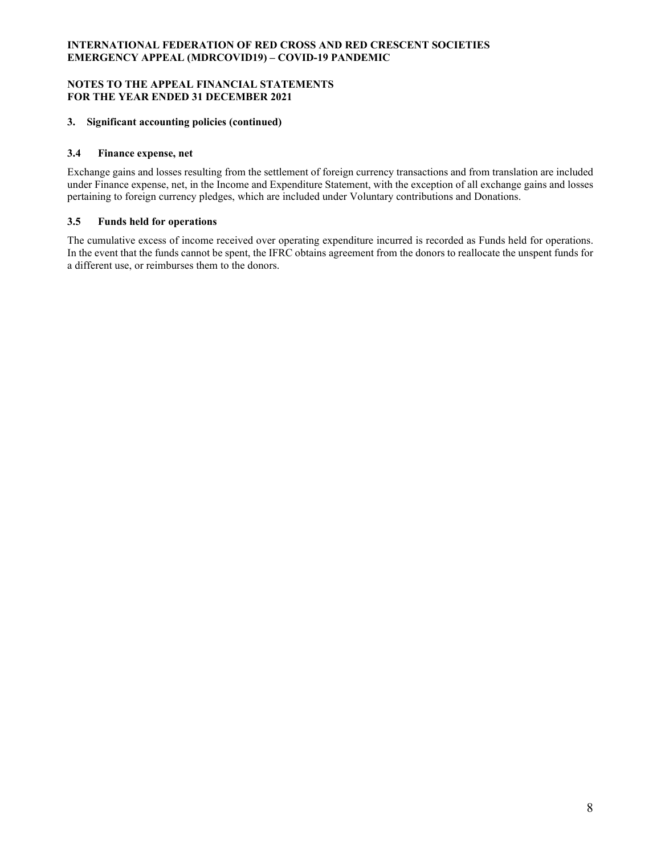### **NOTES TO THE APPEAL FINANCIAL STATEMENTS FOR THE YEAR ENDED 31 DECEMBER 2021**

# **3. Significant accounting policies (continued)**

## **3.4 Finance expense, net**

Exchange gains and losses resulting from the settlement of foreign currency transactions and from translation are included under Finance expense, net, in the Income and Expenditure Statement, with the exception of all exchange gains and losses pertaining to foreign currency pledges, which are included under Voluntary contributions and Donations.

## **3.5 Funds held for operations**

The cumulative excess of income received over operating expenditure incurred is recorded as Funds held for operations. In the event that the funds cannot be spent, the IFRC obtains agreement from the donors to reallocate the unspent funds for a different use, or reimburses them to the donors.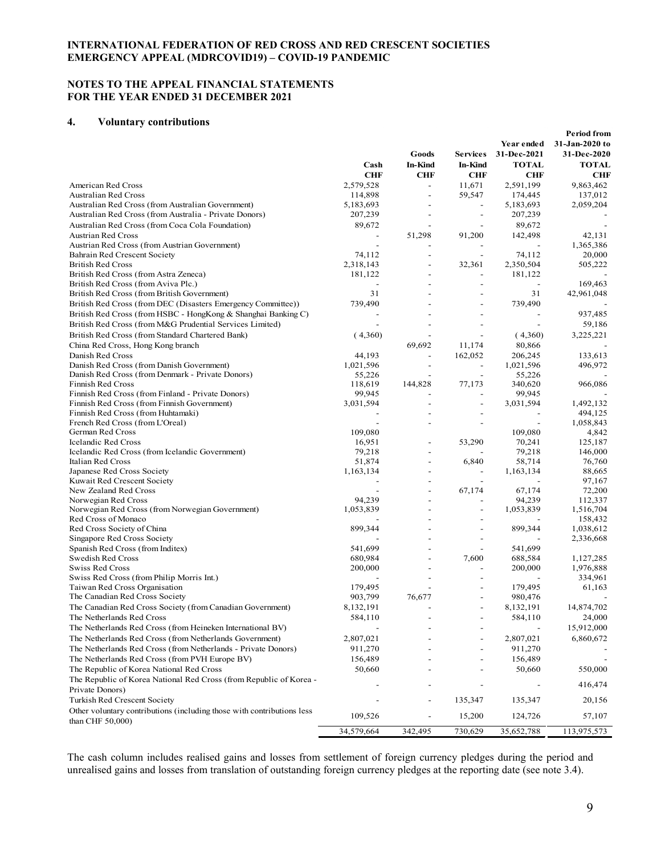### **NOTES TO THE APPEAL FINANCIAL STATEMENTS FOR THE YEAR ENDED 31 DECEMBER 2021**

#### **4. Voluntary contributions**

|                                                                                            | Cash                     | Goods<br><b>In-Kind</b>  | <b>Services</b><br>In-Kind | Year ended<br>31-Dec-2021<br><b>TOTAL</b> | <b>Period from</b><br>31-Jan-2020 to<br>31-Dec-2020<br><b>TOTAL</b> |
|--------------------------------------------------------------------------------------------|--------------------------|--------------------------|----------------------------|-------------------------------------------|---------------------------------------------------------------------|
|                                                                                            | <b>CHF</b>               | <b>CHF</b>               | <b>CHF</b>                 | <b>CHF</b>                                | CHF                                                                 |
| American Red Cross                                                                         | 2,579,528                | $\overline{a}$           | 11,671                     | 2,591,199                                 | 9,863,462                                                           |
| <b>Australian Red Cross</b>                                                                | 114,898                  | $\overline{\phantom{a}}$ | 59,547                     | 174,445                                   | 137,012                                                             |
| Australian Red Cross (from Australian Government)                                          | 5,183,693                | $\overline{a}$           |                            | 5,183,693                                 | 2,059,204                                                           |
| Australian Red Cross (from Australia - Private Donors)                                     | 207,239                  | $\overline{\phantom{a}}$ | $\overline{\phantom{a}}$   | 207,239                                   |                                                                     |
| Australian Red Cross (from Coca Cola Foundation)                                           | 89,672                   |                          |                            | 89,672                                    |                                                                     |
| <b>Austrian Red Cross</b>                                                                  |                          | 51,298                   | 91,200                     | 142,498                                   | 42,131                                                              |
| Austrian Red Cross (from Austrian Government)                                              |                          |                          |                            |                                           | 1,365,386                                                           |
| Bahrain Red Crescent Society<br><b>British Red Cross</b>                                   | 74,112<br>2,318,143      | $\overline{a}$           | 32,361                     | 74,112<br>2,350,504                       | 20,000<br>505,222                                                   |
| British Red Cross (from Astra Zeneca)                                                      | 181,122                  | $\overline{a}$           |                            | 181,122                                   |                                                                     |
| British Red Cross (from Aviva Plc.)                                                        | $\overline{\phantom{a}}$ |                          |                            | $\overline{\phantom{a}}$                  | 169,463                                                             |
| British Red Cross (from British Government)                                                | 31                       |                          |                            | 31                                        | 42,961,048                                                          |
| British Red Cross (from DEC (Disasters Emergency Committee))                               | 739,490                  |                          |                            | 739,490                                   |                                                                     |
| British Red Cross (from HSBC - HongKong & Shanghai Banking C)                              |                          |                          |                            |                                           | 937,485                                                             |
| British Red Cross (from M&G Prudential Services Limited)                                   |                          |                          |                            | $\overline{a}$                            | 59,186                                                              |
| British Red Cross (from Standard Chartered Bank)                                           | (4,360)                  |                          |                            | (4,360)                                   | 3,225,221                                                           |
| China Red Cross, Hong Kong branch                                                          |                          | 69,692                   | 11,174                     | 80,866                                    |                                                                     |
| Danish Red Cross                                                                           | 44,193                   |                          | 162,052                    | 206,245                                   | 133,613                                                             |
| Danish Red Cross (from Danish Government)                                                  | 1,021,596                |                          |                            | 1,021,596                                 | 496,972                                                             |
| Danish Red Cross (from Denmark - Private Donors)                                           | 55,226                   |                          | $\overline{\phantom{a}}$   | 55,226                                    |                                                                     |
| Finnish Red Cross                                                                          | 118,619                  | 144,828                  | 77,173                     | 340,620                                   | 966,086                                                             |
| Finnish Red Cross (from Finland - Private Donors)                                          | 99.945                   |                          |                            | 99,945                                    |                                                                     |
| Finnish Red Cross (from Finnish Government)                                                | 3,031,594                |                          | $\overline{a}$             | 3,031,594                                 | 1,492,132                                                           |
| Finnish Red Cross (from Huhtamaki)                                                         |                          | $\overline{a}$           |                            |                                           | 494,125                                                             |
| French Red Cross (from L'Oreal)                                                            |                          |                          |                            |                                           | 1,058,843                                                           |
| German Red Cross                                                                           | 109,080                  |                          |                            | 109,080                                   | 4,842                                                               |
| Icelandic Red Cross                                                                        | 16,951                   | $\overline{a}$           | 53,290                     | 70,241                                    | 125,187                                                             |
| Icelandic Red Cross (from Icelandic Government)                                            | 79,218                   | $\overline{a}$           |                            | 79,218                                    | 146,000                                                             |
| Italian Red Cross                                                                          | 51,874                   | $\overline{a}$           | 6,840                      | 58,714                                    | 76,760                                                              |
| Japanese Red Cross Society                                                                 | 1,163,134                | $\overline{\phantom{0}}$ |                            | 1,163,134                                 | 88,665                                                              |
| Kuwait Red Crescent Society                                                                |                          | $\overline{\phantom{0}}$ |                            |                                           | 97,167                                                              |
| New Zealand Red Cross                                                                      | 94,239                   |                          | 67,174                     | 67,174<br>94,239                          | 72,200<br>112,337                                                   |
| Norwegian Red Cross<br>Norwegian Red Cross (from Norwegian Government)                     | 1,053,839                |                          |                            | 1,053,839                                 | 1,516,704                                                           |
| Red Cross of Monaco                                                                        |                          |                          |                            |                                           | 158,432                                                             |
| Red Cross Society of China                                                                 | 899,344                  |                          |                            | 899,344                                   | 1,038,612                                                           |
| Singapore Red Cross Society                                                                |                          |                          |                            |                                           | 2,336,668                                                           |
| Spanish Red Cross (from Inditex)                                                           | 541,699                  |                          |                            | 541,699                                   |                                                                     |
| Swedish Red Cross                                                                          | 680,984                  |                          | 7,600                      | 688,584                                   | 1,127,285                                                           |
| Swiss Red Cross                                                                            | 200,000                  |                          |                            | 200,000                                   | 1,976,888                                                           |
| Swiss Red Cross (from Philip Morris Int.)                                                  |                          |                          |                            |                                           | 334,961                                                             |
| Taiwan Red Cross Organisation                                                              | 179,495                  |                          |                            | 179,495                                   | 61,163                                                              |
| The Canadian Red Cross Society                                                             | 903,799                  | 76,677                   |                            | 980,476                                   |                                                                     |
| The Canadian Red Cross Society (from Canadian Government)                                  | 8,132,191                |                          |                            | 8,132,191                                 | 14,874,702                                                          |
| The Netherlands Red Cross                                                                  | 584,110                  |                          |                            | 584,110                                   | 24,000                                                              |
| The Netherlands Red Cross (from Heineken International BV)                                 |                          |                          |                            |                                           | 15,912,000                                                          |
| The Netherlands Red Cross (from Netherlands Government)                                    | 2,807,021                |                          |                            | 2,807,021                                 | 6,860,672                                                           |
| The Netherlands Red Cross (from Netherlands - Private Donors)                              | 911,270                  |                          |                            | 911,270                                   |                                                                     |
| The Netherlands Red Cross (from PVH Europe BV)                                             | 156,489                  |                          |                            | 156,489                                   |                                                                     |
| The Republic of Korea National Red Cross                                                   | 50,660                   |                          |                            | 50,660                                    | 550,000                                                             |
| The Republic of Korea National Red Cross (from Republic of Korea -<br>Private Donors)      |                          |                          |                            |                                           | 416,474                                                             |
| Turkish Red Crescent Society                                                               |                          |                          | 135,347                    | 135,347                                   | 20,156                                                              |
| Other voluntary contributions (including those with contributions less<br>than CHF 50,000) | 109,526                  | $\overline{a}$           | 15,200                     | 124,726                                   | 57,107                                                              |
|                                                                                            | 34,579,664               | 342,495                  | 730,629                    | 35,652,788                                | 113,975,573                                                         |
|                                                                                            |                          |                          |                            |                                           |                                                                     |

The cash column includes realised gains and losses from settlement of foreign currency pledges during the period and unrealised gains and losses from translation of outstanding foreign currency pledges at the reporting date (see note 3.4).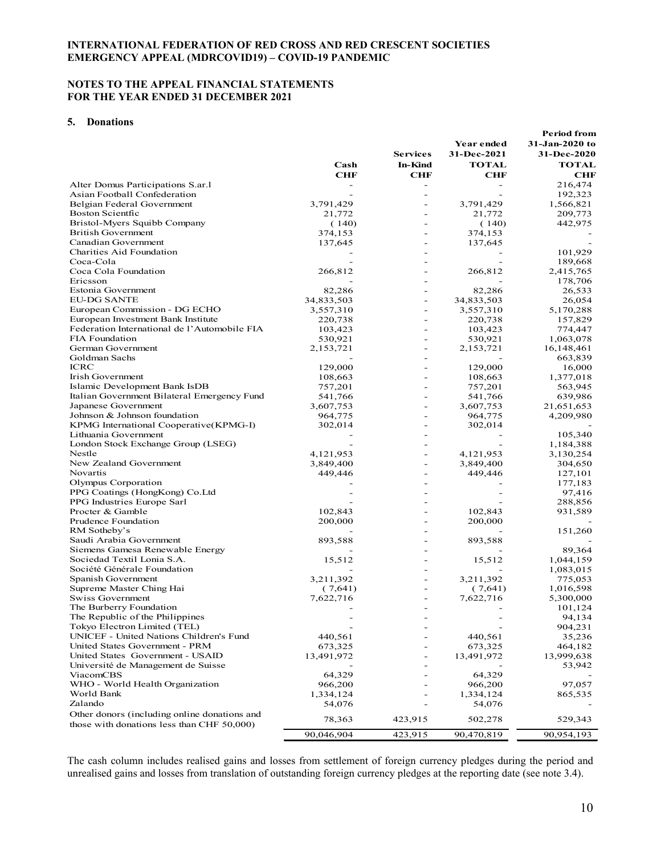### **NOTES TO THE APPEAL FINANCIAL STATEMENTS FOR THE YEAR ENDED 31 DECEMBER 2021**

#### **5. Donations**

| 31-Jan-2020 to<br>Year ended<br><b>Services</b><br>31-Dec-2021<br>31-Dec-2020<br><b>TOTAL</b><br>Cash<br><b>In-Kind</b><br><b>TOTAL</b><br><b>CHF</b><br><b>CHF</b><br><b>CHF</b><br>CHF<br>Alter Domus Participations S.ar.1<br>216,474<br>$\overline{a}$<br>Asian Football Confederation<br>192,323<br>Belgian Federal Government<br>3,791,429<br>3,791,429<br>1,566,821<br><b>Boston Scientfic</b><br>21,772<br>21,772<br>209,773<br>Bristol-Myers Squibb Company<br>442,975<br>(140)<br>(140)<br><b>British Government</b><br>374,153<br>374,153<br>Canadian Government<br>137,645<br>137,645<br>Charities Aid Foundation<br>101,929<br>Coca-Cola<br>189,668<br>Coca Cola Foundation<br>266,812<br>266,812<br>2,415,765<br>Ericsson<br>178,706<br>Estonia Government<br>82,286<br>82,286<br>26,533<br><b>EU-DG SANTE</b><br>34,833,503<br>34,833,503<br>26,054<br>European Commission - DG ECHO<br>3,557,310<br>3,557,310<br>5,170,288<br>$\overline{\phantom{0}}$<br>European Investment Bank Institute<br>220,738<br>220,738<br>157,829<br>Federation International de l'Automobile FIA<br>103,423<br>103,423<br>774,447<br><b>FIA Foundation</b><br>530,921<br>530,921<br>1,063,078<br>German Government<br>2,153,721<br>2,153,721<br>16,148,461<br>$\overline{\phantom{0}}$<br>Goldman Sachs<br>663,839<br><b>ICRC</b><br>129,000<br>129,000<br>16,000<br>Irish Government<br>108,663<br>108,663<br>1,377,018<br>Islamic Development Bank IsDB<br>757,201<br>757,201<br>563,945<br>Italian Government Bilateral Emergency Fund<br>541,766<br>541,766<br>639,986<br>Japanese Government<br>3,607,753<br>3,607,753<br>21,651,653<br>Johnson & Johnson foundation<br>4,209,980<br>964,775<br>964,775<br>KPMG International Cooperative(KPMG-I)<br>302,014<br>302,014<br>Lithuania Government<br>105,340<br>London Stock Exchange Group (LSEG)<br>1,184,388<br>Nestle<br>4, 121, 953<br>4,121,953<br>3,130,254<br>New Zealand Government<br>3,849,400<br>3,849,400<br>304,650<br>$\overline{a}$<br>Novartis<br>449,446<br>449,446<br>127,101<br>Olympus Corporation<br>177,183<br>PPG Coatings (HongKong) Co.Ltd<br>97,416<br>PPG Industries Europe Sarl<br>288,856<br>Procter & Gamble<br>102,843<br>102,843<br>931,589<br>Prudence Foundation<br>200,000<br>200,000<br>RM Sotheby's<br>151,260<br>Saudi Arabia Government<br>893,588<br>893,588<br>Siemens Gamesa Renewable Energy<br>89,364<br>Sociedad Textil Lonia S.A.<br>15,512<br>15,512<br>1,044,159<br>Société Générale Foundation<br>1,083,015<br>Spanish Government<br>3,211,392<br>3,211,392<br>775,053<br>Supreme Master Ching Hai<br>(7,641)<br>(7,641)<br>1,016,598<br>Swiss Government<br>7,622,716<br>7,622,716<br>5,300,000<br>The Burberry Foundation<br>101,124<br>$\overline{\phantom{0}}$<br>$\qquad \qquad -$<br>The Republic of the Philippines<br>94,134<br>Tokyo Electron Limited (TEL)<br>904,231<br>UNICEF - United Nations Children's Fund<br>440,561<br>440,561<br>35,236<br>United States Government - PRM<br>673,325<br>673,325<br>464,182<br>United States Government - USAID<br>13,491,972<br>13,491,972<br>13,999,638<br>Université de Management de Suisse<br>53,942<br>ViacomCBS<br>64,329<br>64,329<br>WHO - World Health Organization<br>966,200<br>966,200<br>97,057<br>World Bank<br>1,334,124<br>1,334,124<br>865,535<br>Zalando<br>54,076<br>54,076<br>Other donors (including online donations and<br>78,363<br>423,915<br>502,278<br>529,343<br>those with donations less than CHF 50,000)<br>90,046,904<br>90,470,819<br>423,915<br>90,954,193 |  |  | Period from |
|---------------------------------------------------------------------------------------------------------------------------------------------------------------------------------------------------------------------------------------------------------------------------------------------------------------------------------------------------------------------------------------------------------------------------------------------------------------------------------------------------------------------------------------------------------------------------------------------------------------------------------------------------------------------------------------------------------------------------------------------------------------------------------------------------------------------------------------------------------------------------------------------------------------------------------------------------------------------------------------------------------------------------------------------------------------------------------------------------------------------------------------------------------------------------------------------------------------------------------------------------------------------------------------------------------------------------------------------------------------------------------------------------------------------------------------------------------------------------------------------------------------------------------------------------------------------------------------------------------------------------------------------------------------------------------------------------------------------------------------------------------------------------------------------------------------------------------------------------------------------------------------------------------------------------------------------------------------------------------------------------------------------------------------------------------------------------------------------------------------------------------------------------------------------------------------------------------------------------------------------------------------------------------------------------------------------------------------------------------------------------------------------------------------------------------------------------------------------------------------------------------------------------------------------------------------------------------------------------------------------------------------------------------------------------------------------------------------------------------------------------------------------------------------------------------------------------------------------------------------------------------------------------------------------------------------------------------------------------------------------------------------------------------------------------------------------------------------------------------------------------------------------------------------------------------------------------------------------------------------------------------------------------------------------------------------------------------------------------------------------------------------------------------------------------------------------------------------------------------------------------------------------------------------------------|--|--|-------------|
|                                                                                                                                                                                                                                                                                                                                                                                                                                                                                                                                                                                                                                                                                                                                                                                                                                                                                                                                                                                                                                                                                                                                                                                                                                                                                                                                                                                                                                                                                                                                                                                                                                                                                                                                                                                                                                                                                                                                                                                                                                                                                                                                                                                                                                                                                                                                                                                                                                                                                                                                                                                                                                                                                                                                                                                                                                                                                                                                                                                                                                                                                                                                                                                                                                                                                                                                                                                                                                                                                                                                                   |  |  |             |
|                                                                                                                                                                                                                                                                                                                                                                                                                                                                                                                                                                                                                                                                                                                                                                                                                                                                                                                                                                                                                                                                                                                                                                                                                                                                                                                                                                                                                                                                                                                                                                                                                                                                                                                                                                                                                                                                                                                                                                                                                                                                                                                                                                                                                                                                                                                                                                                                                                                                                                                                                                                                                                                                                                                                                                                                                                                                                                                                                                                                                                                                                                                                                                                                                                                                                                                                                                                                                                                                                                                                                   |  |  |             |
|                                                                                                                                                                                                                                                                                                                                                                                                                                                                                                                                                                                                                                                                                                                                                                                                                                                                                                                                                                                                                                                                                                                                                                                                                                                                                                                                                                                                                                                                                                                                                                                                                                                                                                                                                                                                                                                                                                                                                                                                                                                                                                                                                                                                                                                                                                                                                                                                                                                                                                                                                                                                                                                                                                                                                                                                                                                                                                                                                                                                                                                                                                                                                                                                                                                                                                                                                                                                                                                                                                                                                   |  |  |             |
|                                                                                                                                                                                                                                                                                                                                                                                                                                                                                                                                                                                                                                                                                                                                                                                                                                                                                                                                                                                                                                                                                                                                                                                                                                                                                                                                                                                                                                                                                                                                                                                                                                                                                                                                                                                                                                                                                                                                                                                                                                                                                                                                                                                                                                                                                                                                                                                                                                                                                                                                                                                                                                                                                                                                                                                                                                                                                                                                                                                                                                                                                                                                                                                                                                                                                                                                                                                                                                                                                                                                                   |  |  |             |
|                                                                                                                                                                                                                                                                                                                                                                                                                                                                                                                                                                                                                                                                                                                                                                                                                                                                                                                                                                                                                                                                                                                                                                                                                                                                                                                                                                                                                                                                                                                                                                                                                                                                                                                                                                                                                                                                                                                                                                                                                                                                                                                                                                                                                                                                                                                                                                                                                                                                                                                                                                                                                                                                                                                                                                                                                                                                                                                                                                                                                                                                                                                                                                                                                                                                                                                                                                                                                                                                                                                                                   |  |  |             |
|                                                                                                                                                                                                                                                                                                                                                                                                                                                                                                                                                                                                                                                                                                                                                                                                                                                                                                                                                                                                                                                                                                                                                                                                                                                                                                                                                                                                                                                                                                                                                                                                                                                                                                                                                                                                                                                                                                                                                                                                                                                                                                                                                                                                                                                                                                                                                                                                                                                                                                                                                                                                                                                                                                                                                                                                                                                                                                                                                                                                                                                                                                                                                                                                                                                                                                                                                                                                                                                                                                                                                   |  |  |             |
|                                                                                                                                                                                                                                                                                                                                                                                                                                                                                                                                                                                                                                                                                                                                                                                                                                                                                                                                                                                                                                                                                                                                                                                                                                                                                                                                                                                                                                                                                                                                                                                                                                                                                                                                                                                                                                                                                                                                                                                                                                                                                                                                                                                                                                                                                                                                                                                                                                                                                                                                                                                                                                                                                                                                                                                                                                                                                                                                                                                                                                                                                                                                                                                                                                                                                                                                                                                                                                                                                                                                                   |  |  |             |
|                                                                                                                                                                                                                                                                                                                                                                                                                                                                                                                                                                                                                                                                                                                                                                                                                                                                                                                                                                                                                                                                                                                                                                                                                                                                                                                                                                                                                                                                                                                                                                                                                                                                                                                                                                                                                                                                                                                                                                                                                                                                                                                                                                                                                                                                                                                                                                                                                                                                                                                                                                                                                                                                                                                                                                                                                                                                                                                                                                                                                                                                                                                                                                                                                                                                                                                                                                                                                                                                                                                                                   |  |  |             |
|                                                                                                                                                                                                                                                                                                                                                                                                                                                                                                                                                                                                                                                                                                                                                                                                                                                                                                                                                                                                                                                                                                                                                                                                                                                                                                                                                                                                                                                                                                                                                                                                                                                                                                                                                                                                                                                                                                                                                                                                                                                                                                                                                                                                                                                                                                                                                                                                                                                                                                                                                                                                                                                                                                                                                                                                                                                                                                                                                                                                                                                                                                                                                                                                                                                                                                                                                                                                                                                                                                                                                   |  |  |             |
|                                                                                                                                                                                                                                                                                                                                                                                                                                                                                                                                                                                                                                                                                                                                                                                                                                                                                                                                                                                                                                                                                                                                                                                                                                                                                                                                                                                                                                                                                                                                                                                                                                                                                                                                                                                                                                                                                                                                                                                                                                                                                                                                                                                                                                                                                                                                                                                                                                                                                                                                                                                                                                                                                                                                                                                                                                                                                                                                                                                                                                                                                                                                                                                                                                                                                                                                                                                                                                                                                                                                                   |  |  |             |
|                                                                                                                                                                                                                                                                                                                                                                                                                                                                                                                                                                                                                                                                                                                                                                                                                                                                                                                                                                                                                                                                                                                                                                                                                                                                                                                                                                                                                                                                                                                                                                                                                                                                                                                                                                                                                                                                                                                                                                                                                                                                                                                                                                                                                                                                                                                                                                                                                                                                                                                                                                                                                                                                                                                                                                                                                                                                                                                                                                                                                                                                                                                                                                                                                                                                                                                                                                                                                                                                                                                                                   |  |  |             |
|                                                                                                                                                                                                                                                                                                                                                                                                                                                                                                                                                                                                                                                                                                                                                                                                                                                                                                                                                                                                                                                                                                                                                                                                                                                                                                                                                                                                                                                                                                                                                                                                                                                                                                                                                                                                                                                                                                                                                                                                                                                                                                                                                                                                                                                                                                                                                                                                                                                                                                                                                                                                                                                                                                                                                                                                                                                                                                                                                                                                                                                                                                                                                                                                                                                                                                                                                                                                                                                                                                                                                   |  |  |             |
|                                                                                                                                                                                                                                                                                                                                                                                                                                                                                                                                                                                                                                                                                                                                                                                                                                                                                                                                                                                                                                                                                                                                                                                                                                                                                                                                                                                                                                                                                                                                                                                                                                                                                                                                                                                                                                                                                                                                                                                                                                                                                                                                                                                                                                                                                                                                                                                                                                                                                                                                                                                                                                                                                                                                                                                                                                                                                                                                                                                                                                                                                                                                                                                                                                                                                                                                                                                                                                                                                                                                                   |  |  |             |
|                                                                                                                                                                                                                                                                                                                                                                                                                                                                                                                                                                                                                                                                                                                                                                                                                                                                                                                                                                                                                                                                                                                                                                                                                                                                                                                                                                                                                                                                                                                                                                                                                                                                                                                                                                                                                                                                                                                                                                                                                                                                                                                                                                                                                                                                                                                                                                                                                                                                                                                                                                                                                                                                                                                                                                                                                                                                                                                                                                                                                                                                                                                                                                                                                                                                                                                                                                                                                                                                                                                                                   |  |  |             |
|                                                                                                                                                                                                                                                                                                                                                                                                                                                                                                                                                                                                                                                                                                                                                                                                                                                                                                                                                                                                                                                                                                                                                                                                                                                                                                                                                                                                                                                                                                                                                                                                                                                                                                                                                                                                                                                                                                                                                                                                                                                                                                                                                                                                                                                                                                                                                                                                                                                                                                                                                                                                                                                                                                                                                                                                                                                                                                                                                                                                                                                                                                                                                                                                                                                                                                                                                                                                                                                                                                                                                   |  |  |             |
|                                                                                                                                                                                                                                                                                                                                                                                                                                                                                                                                                                                                                                                                                                                                                                                                                                                                                                                                                                                                                                                                                                                                                                                                                                                                                                                                                                                                                                                                                                                                                                                                                                                                                                                                                                                                                                                                                                                                                                                                                                                                                                                                                                                                                                                                                                                                                                                                                                                                                                                                                                                                                                                                                                                                                                                                                                                                                                                                                                                                                                                                                                                                                                                                                                                                                                                                                                                                                                                                                                                                                   |  |  |             |
|                                                                                                                                                                                                                                                                                                                                                                                                                                                                                                                                                                                                                                                                                                                                                                                                                                                                                                                                                                                                                                                                                                                                                                                                                                                                                                                                                                                                                                                                                                                                                                                                                                                                                                                                                                                                                                                                                                                                                                                                                                                                                                                                                                                                                                                                                                                                                                                                                                                                                                                                                                                                                                                                                                                                                                                                                                                                                                                                                                                                                                                                                                                                                                                                                                                                                                                                                                                                                                                                                                                                                   |  |  |             |
|                                                                                                                                                                                                                                                                                                                                                                                                                                                                                                                                                                                                                                                                                                                                                                                                                                                                                                                                                                                                                                                                                                                                                                                                                                                                                                                                                                                                                                                                                                                                                                                                                                                                                                                                                                                                                                                                                                                                                                                                                                                                                                                                                                                                                                                                                                                                                                                                                                                                                                                                                                                                                                                                                                                                                                                                                                                                                                                                                                                                                                                                                                                                                                                                                                                                                                                                                                                                                                                                                                                                                   |  |  |             |
|                                                                                                                                                                                                                                                                                                                                                                                                                                                                                                                                                                                                                                                                                                                                                                                                                                                                                                                                                                                                                                                                                                                                                                                                                                                                                                                                                                                                                                                                                                                                                                                                                                                                                                                                                                                                                                                                                                                                                                                                                                                                                                                                                                                                                                                                                                                                                                                                                                                                                                                                                                                                                                                                                                                                                                                                                                                                                                                                                                                                                                                                                                                                                                                                                                                                                                                                                                                                                                                                                                                                                   |  |  |             |
|                                                                                                                                                                                                                                                                                                                                                                                                                                                                                                                                                                                                                                                                                                                                                                                                                                                                                                                                                                                                                                                                                                                                                                                                                                                                                                                                                                                                                                                                                                                                                                                                                                                                                                                                                                                                                                                                                                                                                                                                                                                                                                                                                                                                                                                                                                                                                                                                                                                                                                                                                                                                                                                                                                                                                                                                                                                                                                                                                                                                                                                                                                                                                                                                                                                                                                                                                                                                                                                                                                                                                   |  |  |             |
|                                                                                                                                                                                                                                                                                                                                                                                                                                                                                                                                                                                                                                                                                                                                                                                                                                                                                                                                                                                                                                                                                                                                                                                                                                                                                                                                                                                                                                                                                                                                                                                                                                                                                                                                                                                                                                                                                                                                                                                                                                                                                                                                                                                                                                                                                                                                                                                                                                                                                                                                                                                                                                                                                                                                                                                                                                                                                                                                                                                                                                                                                                                                                                                                                                                                                                                                                                                                                                                                                                                                                   |  |  |             |
|                                                                                                                                                                                                                                                                                                                                                                                                                                                                                                                                                                                                                                                                                                                                                                                                                                                                                                                                                                                                                                                                                                                                                                                                                                                                                                                                                                                                                                                                                                                                                                                                                                                                                                                                                                                                                                                                                                                                                                                                                                                                                                                                                                                                                                                                                                                                                                                                                                                                                                                                                                                                                                                                                                                                                                                                                                                                                                                                                                                                                                                                                                                                                                                                                                                                                                                                                                                                                                                                                                                                                   |  |  |             |
|                                                                                                                                                                                                                                                                                                                                                                                                                                                                                                                                                                                                                                                                                                                                                                                                                                                                                                                                                                                                                                                                                                                                                                                                                                                                                                                                                                                                                                                                                                                                                                                                                                                                                                                                                                                                                                                                                                                                                                                                                                                                                                                                                                                                                                                                                                                                                                                                                                                                                                                                                                                                                                                                                                                                                                                                                                                                                                                                                                                                                                                                                                                                                                                                                                                                                                                                                                                                                                                                                                                                                   |  |  |             |
|                                                                                                                                                                                                                                                                                                                                                                                                                                                                                                                                                                                                                                                                                                                                                                                                                                                                                                                                                                                                                                                                                                                                                                                                                                                                                                                                                                                                                                                                                                                                                                                                                                                                                                                                                                                                                                                                                                                                                                                                                                                                                                                                                                                                                                                                                                                                                                                                                                                                                                                                                                                                                                                                                                                                                                                                                                                                                                                                                                                                                                                                                                                                                                                                                                                                                                                                                                                                                                                                                                                                                   |  |  |             |
|                                                                                                                                                                                                                                                                                                                                                                                                                                                                                                                                                                                                                                                                                                                                                                                                                                                                                                                                                                                                                                                                                                                                                                                                                                                                                                                                                                                                                                                                                                                                                                                                                                                                                                                                                                                                                                                                                                                                                                                                                                                                                                                                                                                                                                                                                                                                                                                                                                                                                                                                                                                                                                                                                                                                                                                                                                                                                                                                                                                                                                                                                                                                                                                                                                                                                                                                                                                                                                                                                                                                                   |  |  |             |
|                                                                                                                                                                                                                                                                                                                                                                                                                                                                                                                                                                                                                                                                                                                                                                                                                                                                                                                                                                                                                                                                                                                                                                                                                                                                                                                                                                                                                                                                                                                                                                                                                                                                                                                                                                                                                                                                                                                                                                                                                                                                                                                                                                                                                                                                                                                                                                                                                                                                                                                                                                                                                                                                                                                                                                                                                                                                                                                                                                                                                                                                                                                                                                                                                                                                                                                                                                                                                                                                                                                                                   |  |  |             |
|                                                                                                                                                                                                                                                                                                                                                                                                                                                                                                                                                                                                                                                                                                                                                                                                                                                                                                                                                                                                                                                                                                                                                                                                                                                                                                                                                                                                                                                                                                                                                                                                                                                                                                                                                                                                                                                                                                                                                                                                                                                                                                                                                                                                                                                                                                                                                                                                                                                                                                                                                                                                                                                                                                                                                                                                                                                                                                                                                                                                                                                                                                                                                                                                                                                                                                                                                                                                                                                                                                                                                   |  |  |             |
|                                                                                                                                                                                                                                                                                                                                                                                                                                                                                                                                                                                                                                                                                                                                                                                                                                                                                                                                                                                                                                                                                                                                                                                                                                                                                                                                                                                                                                                                                                                                                                                                                                                                                                                                                                                                                                                                                                                                                                                                                                                                                                                                                                                                                                                                                                                                                                                                                                                                                                                                                                                                                                                                                                                                                                                                                                                                                                                                                                                                                                                                                                                                                                                                                                                                                                                                                                                                                                                                                                                                                   |  |  |             |
|                                                                                                                                                                                                                                                                                                                                                                                                                                                                                                                                                                                                                                                                                                                                                                                                                                                                                                                                                                                                                                                                                                                                                                                                                                                                                                                                                                                                                                                                                                                                                                                                                                                                                                                                                                                                                                                                                                                                                                                                                                                                                                                                                                                                                                                                                                                                                                                                                                                                                                                                                                                                                                                                                                                                                                                                                                                                                                                                                                                                                                                                                                                                                                                                                                                                                                                                                                                                                                                                                                                                                   |  |  |             |
|                                                                                                                                                                                                                                                                                                                                                                                                                                                                                                                                                                                                                                                                                                                                                                                                                                                                                                                                                                                                                                                                                                                                                                                                                                                                                                                                                                                                                                                                                                                                                                                                                                                                                                                                                                                                                                                                                                                                                                                                                                                                                                                                                                                                                                                                                                                                                                                                                                                                                                                                                                                                                                                                                                                                                                                                                                                                                                                                                                                                                                                                                                                                                                                                                                                                                                                                                                                                                                                                                                                                                   |  |  |             |
|                                                                                                                                                                                                                                                                                                                                                                                                                                                                                                                                                                                                                                                                                                                                                                                                                                                                                                                                                                                                                                                                                                                                                                                                                                                                                                                                                                                                                                                                                                                                                                                                                                                                                                                                                                                                                                                                                                                                                                                                                                                                                                                                                                                                                                                                                                                                                                                                                                                                                                                                                                                                                                                                                                                                                                                                                                                                                                                                                                                                                                                                                                                                                                                                                                                                                                                                                                                                                                                                                                                                                   |  |  |             |
|                                                                                                                                                                                                                                                                                                                                                                                                                                                                                                                                                                                                                                                                                                                                                                                                                                                                                                                                                                                                                                                                                                                                                                                                                                                                                                                                                                                                                                                                                                                                                                                                                                                                                                                                                                                                                                                                                                                                                                                                                                                                                                                                                                                                                                                                                                                                                                                                                                                                                                                                                                                                                                                                                                                                                                                                                                                                                                                                                                                                                                                                                                                                                                                                                                                                                                                                                                                                                                                                                                                                                   |  |  |             |
|                                                                                                                                                                                                                                                                                                                                                                                                                                                                                                                                                                                                                                                                                                                                                                                                                                                                                                                                                                                                                                                                                                                                                                                                                                                                                                                                                                                                                                                                                                                                                                                                                                                                                                                                                                                                                                                                                                                                                                                                                                                                                                                                                                                                                                                                                                                                                                                                                                                                                                                                                                                                                                                                                                                                                                                                                                                                                                                                                                                                                                                                                                                                                                                                                                                                                                                                                                                                                                                                                                                                                   |  |  |             |
|                                                                                                                                                                                                                                                                                                                                                                                                                                                                                                                                                                                                                                                                                                                                                                                                                                                                                                                                                                                                                                                                                                                                                                                                                                                                                                                                                                                                                                                                                                                                                                                                                                                                                                                                                                                                                                                                                                                                                                                                                                                                                                                                                                                                                                                                                                                                                                                                                                                                                                                                                                                                                                                                                                                                                                                                                                                                                                                                                                                                                                                                                                                                                                                                                                                                                                                                                                                                                                                                                                                                                   |  |  |             |
|                                                                                                                                                                                                                                                                                                                                                                                                                                                                                                                                                                                                                                                                                                                                                                                                                                                                                                                                                                                                                                                                                                                                                                                                                                                                                                                                                                                                                                                                                                                                                                                                                                                                                                                                                                                                                                                                                                                                                                                                                                                                                                                                                                                                                                                                                                                                                                                                                                                                                                                                                                                                                                                                                                                                                                                                                                                                                                                                                                                                                                                                                                                                                                                                                                                                                                                                                                                                                                                                                                                                                   |  |  |             |
|                                                                                                                                                                                                                                                                                                                                                                                                                                                                                                                                                                                                                                                                                                                                                                                                                                                                                                                                                                                                                                                                                                                                                                                                                                                                                                                                                                                                                                                                                                                                                                                                                                                                                                                                                                                                                                                                                                                                                                                                                                                                                                                                                                                                                                                                                                                                                                                                                                                                                                                                                                                                                                                                                                                                                                                                                                                                                                                                                                                                                                                                                                                                                                                                                                                                                                                                                                                                                                                                                                                                                   |  |  |             |
|                                                                                                                                                                                                                                                                                                                                                                                                                                                                                                                                                                                                                                                                                                                                                                                                                                                                                                                                                                                                                                                                                                                                                                                                                                                                                                                                                                                                                                                                                                                                                                                                                                                                                                                                                                                                                                                                                                                                                                                                                                                                                                                                                                                                                                                                                                                                                                                                                                                                                                                                                                                                                                                                                                                                                                                                                                                                                                                                                                                                                                                                                                                                                                                                                                                                                                                                                                                                                                                                                                                                                   |  |  |             |
|                                                                                                                                                                                                                                                                                                                                                                                                                                                                                                                                                                                                                                                                                                                                                                                                                                                                                                                                                                                                                                                                                                                                                                                                                                                                                                                                                                                                                                                                                                                                                                                                                                                                                                                                                                                                                                                                                                                                                                                                                                                                                                                                                                                                                                                                                                                                                                                                                                                                                                                                                                                                                                                                                                                                                                                                                                                                                                                                                                                                                                                                                                                                                                                                                                                                                                                                                                                                                                                                                                                                                   |  |  |             |
|                                                                                                                                                                                                                                                                                                                                                                                                                                                                                                                                                                                                                                                                                                                                                                                                                                                                                                                                                                                                                                                                                                                                                                                                                                                                                                                                                                                                                                                                                                                                                                                                                                                                                                                                                                                                                                                                                                                                                                                                                                                                                                                                                                                                                                                                                                                                                                                                                                                                                                                                                                                                                                                                                                                                                                                                                                                                                                                                                                                                                                                                                                                                                                                                                                                                                                                                                                                                                                                                                                                                                   |  |  |             |
|                                                                                                                                                                                                                                                                                                                                                                                                                                                                                                                                                                                                                                                                                                                                                                                                                                                                                                                                                                                                                                                                                                                                                                                                                                                                                                                                                                                                                                                                                                                                                                                                                                                                                                                                                                                                                                                                                                                                                                                                                                                                                                                                                                                                                                                                                                                                                                                                                                                                                                                                                                                                                                                                                                                                                                                                                                                                                                                                                                                                                                                                                                                                                                                                                                                                                                                                                                                                                                                                                                                                                   |  |  |             |
|                                                                                                                                                                                                                                                                                                                                                                                                                                                                                                                                                                                                                                                                                                                                                                                                                                                                                                                                                                                                                                                                                                                                                                                                                                                                                                                                                                                                                                                                                                                                                                                                                                                                                                                                                                                                                                                                                                                                                                                                                                                                                                                                                                                                                                                                                                                                                                                                                                                                                                                                                                                                                                                                                                                                                                                                                                                                                                                                                                                                                                                                                                                                                                                                                                                                                                                                                                                                                                                                                                                                                   |  |  |             |
|                                                                                                                                                                                                                                                                                                                                                                                                                                                                                                                                                                                                                                                                                                                                                                                                                                                                                                                                                                                                                                                                                                                                                                                                                                                                                                                                                                                                                                                                                                                                                                                                                                                                                                                                                                                                                                                                                                                                                                                                                                                                                                                                                                                                                                                                                                                                                                                                                                                                                                                                                                                                                                                                                                                                                                                                                                                                                                                                                                                                                                                                                                                                                                                                                                                                                                                                                                                                                                                                                                                                                   |  |  |             |
|                                                                                                                                                                                                                                                                                                                                                                                                                                                                                                                                                                                                                                                                                                                                                                                                                                                                                                                                                                                                                                                                                                                                                                                                                                                                                                                                                                                                                                                                                                                                                                                                                                                                                                                                                                                                                                                                                                                                                                                                                                                                                                                                                                                                                                                                                                                                                                                                                                                                                                                                                                                                                                                                                                                                                                                                                                                                                                                                                                                                                                                                                                                                                                                                                                                                                                                                                                                                                                                                                                                                                   |  |  |             |
|                                                                                                                                                                                                                                                                                                                                                                                                                                                                                                                                                                                                                                                                                                                                                                                                                                                                                                                                                                                                                                                                                                                                                                                                                                                                                                                                                                                                                                                                                                                                                                                                                                                                                                                                                                                                                                                                                                                                                                                                                                                                                                                                                                                                                                                                                                                                                                                                                                                                                                                                                                                                                                                                                                                                                                                                                                                                                                                                                                                                                                                                                                                                                                                                                                                                                                                                                                                                                                                                                                                                                   |  |  |             |
|                                                                                                                                                                                                                                                                                                                                                                                                                                                                                                                                                                                                                                                                                                                                                                                                                                                                                                                                                                                                                                                                                                                                                                                                                                                                                                                                                                                                                                                                                                                                                                                                                                                                                                                                                                                                                                                                                                                                                                                                                                                                                                                                                                                                                                                                                                                                                                                                                                                                                                                                                                                                                                                                                                                                                                                                                                                                                                                                                                                                                                                                                                                                                                                                                                                                                                                                                                                                                                                                                                                                                   |  |  |             |
|                                                                                                                                                                                                                                                                                                                                                                                                                                                                                                                                                                                                                                                                                                                                                                                                                                                                                                                                                                                                                                                                                                                                                                                                                                                                                                                                                                                                                                                                                                                                                                                                                                                                                                                                                                                                                                                                                                                                                                                                                                                                                                                                                                                                                                                                                                                                                                                                                                                                                                                                                                                                                                                                                                                                                                                                                                                                                                                                                                                                                                                                                                                                                                                                                                                                                                                                                                                                                                                                                                                                                   |  |  |             |
|                                                                                                                                                                                                                                                                                                                                                                                                                                                                                                                                                                                                                                                                                                                                                                                                                                                                                                                                                                                                                                                                                                                                                                                                                                                                                                                                                                                                                                                                                                                                                                                                                                                                                                                                                                                                                                                                                                                                                                                                                                                                                                                                                                                                                                                                                                                                                                                                                                                                                                                                                                                                                                                                                                                                                                                                                                                                                                                                                                                                                                                                                                                                                                                                                                                                                                                                                                                                                                                                                                                                                   |  |  |             |
|                                                                                                                                                                                                                                                                                                                                                                                                                                                                                                                                                                                                                                                                                                                                                                                                                                                                                                                                                                                                                                                                                                                                                                                                                                                                                                                                                                                                                                                                                                                                                                                                                                                                                                                                                                                                                                                                                                                                                                                                                                                                                                                                                                                                                                                                                                                                                                                                                                                                                                                                                                                                                                                                                                                                                                                                                                                                                                                                                                                                                                                                                                                                                                                                                                                                                                                                                                                                                                                                                                                                                   |  |  |             |
|                                                                                                                                                                                                                                                                                                                                                                                                                                                                                                                                                                                                                                                                                                                                                                                                                                                                                                                                                                                                                                                                                                                                                                                                                                                                                                                                                                                                                                                                                                                                                                                                                                                                                                                                                                                                                                                                                                                                                                                                                                                                                                                                                                                                                                                                                                                                                                                                                                                                                                                                                                                                                                                                                                                                                                                                                                                                                                                                                                                                                                                                                                                                                                                                                                                                                                                                                                                                                                                                                                                                                   |  |  |             |
|                                                                                                                                                                                                                                                                                                                                                                                                                                                                                                                                                                                                                                                                                                                                                                                                                                                                                                                                                                                                                                                                                                                                                                                                                                                                                                                                                                                                                                                                                                                                                                                                                                                                                                                                                                                                                                                                                                                                                                                                                                                                                                                                                                                                                                                                                                                                                                                                                                                                                                                                                                                                                                                                                                                                                                                                                                                                                                                                                                                                                                                                                                                                                                                                                                                                                                                                                                                                                                                                                                                                                   |  |  |             |
|                                                                                                                                                                                                                                                                                                                                                                                                                                                                                                                                                                                                                                                                                                                                                                                                                                                                                                                                                                                                                                                                                                                                                                                                                                                                                                                                                                                                                                                                                                                                                                                                                                                                                                                                                                                                                                                                                                                                                                                                                                                                                                                                                                                                                                                                                                                                                                                                                                                                                                                                                                                                                                                                                                                                                                                                                                                                                                                                                                                                                                                                                                                                                                                                                                                                                                                                                                                                                                                                                                                                                   |  |  |             |
|                                                                                                                                                                                                                                                                                                                                                                                                                                                                                                                                                                                                                                                                                                                                                                                                                                                                                                                                                                                                                                                                                                                                                                                                                                                                                                                                                                                                                                                                                                                                                                                                                                                                                                                                                                                                                                                                                                                                                                                                                                                                                                                                                                                                                                                                                                                                                                                                                                                                                                                                                                                                                                                                                                                                                                                                                                                                                                                                                                                                                                                                                                                                                                                                                                                                                                                                                                                                                                                                                                                                                   |  |  |             |
|                                                                                                                                                                                                                                                                                                                                                                                                                                                                                                                                                                                                                                                                                                                                                                                                                                                                                                                                                                                                                                                                                                                                                                                                                                                                                                                                                                                                                                                                                                                                                                                                                                                                                                                                                                                                                                                                                                                                                                                                                                                                                                                                                                                                                                                                                                                                                                                                                                                                                                                                                                                                                                                                                                                                                                                                                                                                                                                                                                                                                                                                                                                                                                                                                                                                                                                                                                                                                                                                                                                                                   |  |  |             |
|                                                                                                                                                                                                                                                                                                                                                                                                                                                                                                                                                                                                                                                                                                                                                                                                                                                                                                                                                                                                                                                                                                                                                                                                                                                                                                                                                                                                                                                                                                                                                                                                                                                                                                                                                                                                                                                                                                                                                                                                                                                                                                                                                                                                                                                                                                                                                                                                                                                                                                                                                                                                                                                                                                                                                                                                                                                                                                                                                                                                                                                                                                                                                                                                                                                                                                                                                                                                                                                                                                                                                   |  |  |             |
|                                                                                                                                                                                                                                                                                                                                                                                                                                                                                                                                                                                                                                                                                                                                                                                                                                                                                                                                                                                                                                                                                                                                                                                                                                                                                                                                                                                                                                                                                                                                                                                                                                                                                                                                                                                                                                                                                                                                                                                                                                                                                                                                                                                                                                                                                                                                                                                                                                                                                                                                                                                                                                                                                                                                                                                                                                                                                                                                                                                                                                                                                                                                                                                                                                                                                                                                                                                                                                                                                                                                                   |  |  |             |
|                                                                                                                                                                                                                                                                                                                                                                                                                                                                                                                                                                                                                                                                                                                                                                                                                                                                                                                                                                                                                                                                                                                                                                                                                                                                                                                                                                                                                                                                                                                                                                                                                                                                                                                                                                                                                                                                                                                                                                                                                                                                                                                                                                                                                                                                                                                                                                                                                                                                                                                                                                                                                                                                                                                                                                                                                                                                                                                                                                                                                                                                                                                                                                                                                                                                                                                                                                                                                                                                                                                                                   |  |  |             |
|                                                                                                                                                                                                                                                                                                                                                                                                                                                                                                                                                                                                                                                                                                                                                                                                                                                                                                                                                                                                                                                                                                                                                                                                                                                                                                                                                                                                                                                                                                                                                                                                                                                                                                                                                                                                                                                                                                                                                                                                                                                                                                                                                                                                                                                                                                                                                                                                                                                                                                                                                                                                                                                                                                                                                                                                                                                                                                                                                                                                                                                                                                                                                                                                                                                                                                                                                                                                                                                                                                                                                   |  |  |             |
|                                                                                                                                                                                                                                                                                                                                                                                                                                                                                                                                                                                                                                                                                                                                                                                                                                                                                                                                                                                                                                                                                                                                                                                                                                                                                                                                                                                                                                                                                                                                                                                                                                                                                                                                                                                                                                                                                                                                                                                                                                                                                                                                                                                                                                                                                                                                                                                                                                                                                                                                                                                                                                                                                                                                                                                                                                                                                                                                                                                                                                                                                                                                                                                                                                                                                                                                                                                                                                                                                                                                                   |  |  |             |
|                                                                                                                                                                                                                                                                                                                                                                                                                                                                                                                                                                                                                                                                                                                                                                                                                                                                                                                                                                                                                                                                                                                                                                                                                                                                                                                                                                                                                                                                                                                                                                                                                                                                                                                                                                                                                                                                                                                                                                                                                                                                                                                                                                                                                                                                                                                                                                                                                                                                                                                                                                                                                                                                                                                                                                                                                                                                                                                                                                                                                                                                                                                                                                                                                                                                                                                                                                                                                                                                                                                                                   |  |  |             |
|                                                                                                                                                                                                                                                                                                                                                                                                                                                                                                                                                                                                                                                                                                                                                                                                                                                                                                                                                                                                                                                                                                                                                                                                                                                                                                                                                                                                                                                                                                                                                                                                                                                                                                                                                                                                                                                                                                                                                                                                                                                                                                                                                                                                                                                                                                                                                                                                                                                                                                                                                                                                                                                                                                                                                                                                                                                                                                                                                                                                                                                                                                                                                                                                                                                                                                                                                                                                                                                                                                                                                   |  |  |             |
|                                                                                                                                                                                                                                                                                                                                                                                                                                                                                                                                                                                                                                                                                                                                                                                                                                                                                                                                                                                                                                                                                                                                                                                                                                                                                                                                                                                                                                                                                                                                                                                                                                                                                                                                                                                                                                                                                                                                                                                                                                                                                                                                                                                                                                                                                                                                                                                                                                                                                                                                                                                                                                                                                                                                                                                                                                                                                                                                                                                                                                                                                                                                                                                                                                                                                                                                                                                                                                                                                                                                                   |  |  |             |
|                                                                                                                                                                                                                                                                                                                                                                                                                                                                                                                                                                                                                                                                                                                                                                                                                                                                                                                                                                                                                                                                                                                                                                                                                                                                                                                                                                                                                                                                                                                                                                                                                                                                                                                                                                                                                                                                                                                                                                                                                                                                                                                                                                                                                                                                                                                                                                                                                                                                                                                                                                                                                                                                                                                                                                                                                                                                                                                                                                                                                                                                                                                                                                                                                                                                                                                                                                                                                                                                                                                                                   |  |  |             |
|                                                                                                                                                                                                                                                                                                                                                                                                                                                                                                                                                                                                                                                                                                                                                                                                                                                                                                                                                                                                                                                                                                                                                                                                                                                                                                                                                                                                                                                                                                                                                                                                                                                                                                                                                                                                                                                                                                                                                                                                                                                                                                                                                                                                                                                                                                                                                                                                                                                                                                                                                                                                                                                                                                                                                                                                                                                                                                                                                                                                                                                                                                                                                                                                                                                                                                                                                                                                                                                                                                                                                   |  |  |             |
|                                                                                                                                                                                                                                                                                                                                                                                                                                                                                                                                                                                                                                                                                                                                                                                                                                                                                                                                                                                                                                                                                                                                                                                                                                                                                                                                                                                                                                                                                                                                                                                                                                                                                                                                                                                                                                                                                                                                                                                                                                                                                                                                                                                                                                                                                                                                                                                                                                                                                                                                                                                                                                                                                                                                                                                                                                                                                                                                                                                                                                                                                                                                                                                                                                                                                                                                                                                                                                                                                                                                                   |  |  |             |
|                                                                                                                                                                                                                                                                                                                                                                                                                                                                                                                                                                                                                                                                                                                                                                                                                                                                                                                                                                                                                                                                                                                                                                                                                                                                                                                                                                                                                                                                                                                                                                                                                                                                                                                                                                                                                                                                                                                                                                                                                                                                                                                                                                                                                                                                                                                                                                                                                                                                                                                                                                                                                                                                                                                                                                                                                                                                                                                                                                                                                                                                                                                                                                                                                                                                                                                                                                                                                                                                                                                                                   |  |  |             |
|                                                                                                                                                                                                                                                                                                                                                                                                                                                                                                                                                                                                                                                                                                                                                                                                                                                                                                                                                                                                                                                                                                                                                                                                                                                                                                                                                                                                                                                                                                                                                                                                                                                                                                                                                                                                                                                                                                                                                                                                                                                                                                                                                                                                                                                                                                                                                                                                                                                                                                                                                                                                                                                                                                                                                                                                                                                                                                                                                                                                                                                                                                                                                                                                                                                                                                                                                                                                                                                                                                                                                   |  |  |             |
|                                                                                                                                                                                                                                                                                                                                                                                                                                                                                                                                                                                                                                                                                                                                                                                                                                                                                                                                                                                                                                                                                                                                                                                                                                                                                                                                                                                                                                                                                                                                                                                                                                                                                                                                                                                                                                                                                                                                                                                                                                                                                                                                                                                                                                                                                                                                                                                                                                                                                                                                                                                                                                                                                                                                                                                                                                                                                                                                                                                                                                                                                                                                                                                                                                                                                                                                                                                                                                                                                                                                                   |  |  |             |
|                                                                                                                                                                                                                                                                                                                                                                                                                                                                                                                                                                                                                                                                                                                                                                                                                                                                                                                                                                                                                                                                                                                                                                                                                                                                                                                                                                                                                                                                                                                                                                                                                                                                                                                                                                                                                                                                                                                                                                                                                                                                                                                                                                                                                                                                                                                                                                                                                                                                                                                                                                                                                                                                                                                                                                                                                                                                                                                                                                                                                                                                                                                                                                                                                                                                                                                                                                                                                                                                                                                                                   |  |  |             |

The cash column includes realised gains and losses from settlement of foreign currency pledges during the period and unrealised gains and losses from translation of outstanding foreign currency pledges at the reporting date (see note 3.4).

 **Period from**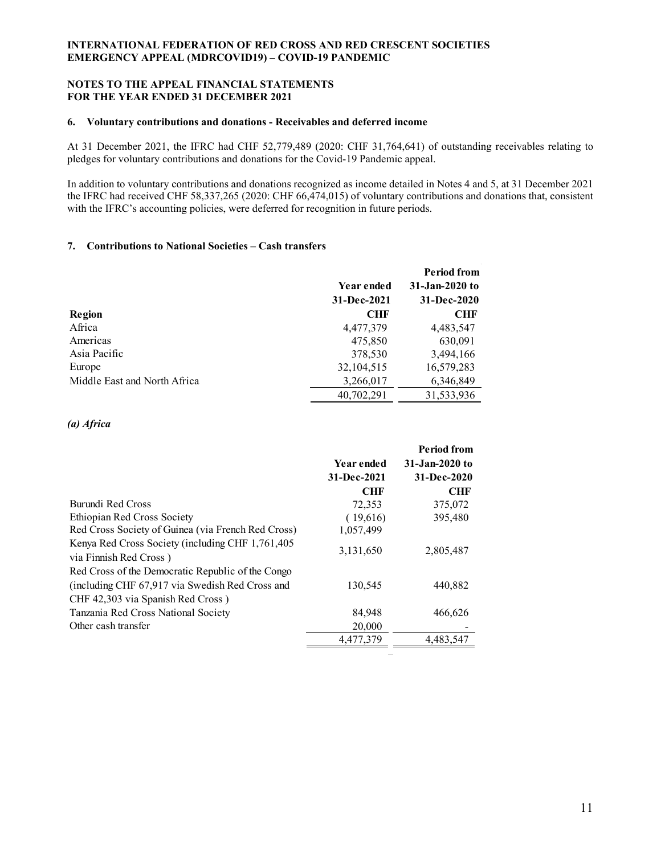### **NOTES TO THE APPEAL FINANCIAL STATEMENTS FOR THE YEAR ENDED 31 DECEMBER 2021**

#### **6. Voluntary contributions and donations - Receivables and deferred income**

At 31 December 2021, the IFRC had CHF 52,779,489 (2020: CHF 31,764,641) of outstanding receivables relating to pledges for voluntary contributions and donations for the Covid-19 Pandemic appeal.

In addition to voluntary contributions and donations recognized as income detailed in Notes 4 and 5, at 31 December 2021 the IFRC had received CHF 58,337,265 (2020: CHF 66,474,015) of voluntary contributions and donations that, consistent with the IFRC's accounting policies, were deferred for recognition in future periods.

#### **7. Contributions to National Societies – Cash transfers**

|                              |             | Period from    |
|------------------------------|-------------|----------------|
|                              | Year ended  | 31-Jan-2020 to |
|                              | 31-Dec-2021 | 31-Dec-2020    |
| Region                       | <b>CHF</b>  | <b>CHF</b>     |
| Africa                       | 4,477,379   | 4,483,547      |
| Americas                     | 475,850     | 630,091        |
| Asia Pacific                 | 378,530     | 3,494,166      |
| Europe                       | 32,104,515  | 16,579,283     |
| Middle East and North Africa | 3,266,017   | 6,346,849      |
|                              | 40,702,291  | 31,533,936     |

#### *(a) Africa*

|                                                                            |             | <b>Period from</b> |
|----------------------------------------------------------------------------|-------------|--------------------|
|                                                                            | Year ended  | 31-Jan-2020 to     |
|                                                                            | 31-Dec-2021 | 31-Dec-2020        |
|                                                                            | <b>CHF</b>  | <b>CHF</b>         |
| Burundi Red Cross                                                          | 72,353      | 375,072            |
| Ethiopian Red Cross Society                                                | (19,616)    | 395,480            |
| Red Cross Society of Guinea (via French Red Cross)                         | 1,057,499   |                    |
| Kenya Red Cross Society (including CHF 1,761,405<br>via Finnish Red Cross) | 3,131,650   | 2,805,487          |
| Red Cross of the Democratic Republic of the Congo                          |             |                    |
| (including CHF 67,917 via Swedish Red Cross and                            | 130,545     | 440,882            |
| CHF 42,303 via Spanish Red Cross)                                          |             |                    |
| Tanzania Red Cross National Society                                        | 84,948      | 466,626            |
| Other cash transfer                                                        | 20,000      |                    |
|                                                                            | 4,477,379   | 4,483,547          |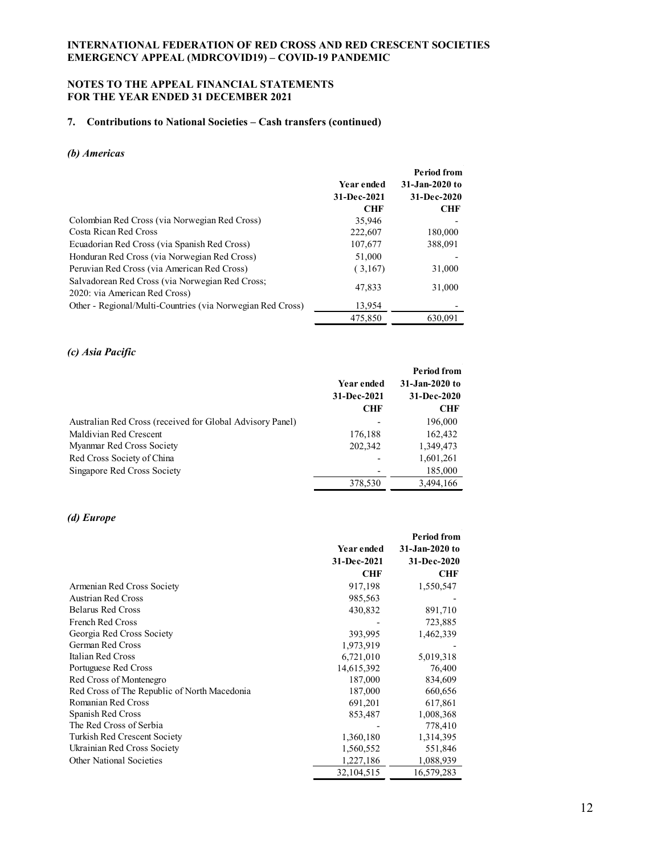## **NOTES TO THE APPEAL FINANCIAL STATEMENTS FOR THE YEAR ENDED 31 DECEMBER 2021**

## **7. Contributions to National Societies – Cash transfers (continued)**

## *(b) Americas*

|                                                                                  |             | <b>Period from</b> |
|----------------------------------------------------------------------------------|-------------|--------------------|
|                                                                                  | Year ended  | 31-Jan-2020 to     |
|                                                                                  | 31-Dec-2021 | 31-Dec-2020        |
|                                                                                  | <b>CHF</b>  | <b>CHF</b>         |
| Colombian Red Cross (via Norwegian Red Cross)                                    | 35,946      |                    |
| Costa Rican Red Cross                                                            | 222,607     | 180,000            |
| Ecuadorian Red Cross (via Spanish Red Cross)                                     | 107,677     | 388.091            |
| Honduran Red Cross (via Norwegian Red Cross)                                     | 51,000      |                    |
| Peruvian Red Cross (via American Red Cross)                                      | (3,167)     | 31,000             |
| Salvadorean Red Cross (via Norwegian Red Cross;<br>2020: via American Red Cross) | 47,833      | 31,000             |
| Other - Regional/Multi-Countries (via Norwegian Red Cross)                       | 13,954      |                    |
|                                                                                  | 475,850     | 630,091            |

## *(c) Asia Pacific*

|                                                           |             | <b>Period from</b> |
|-----------------------------------------------------------|-------------|--------------------|
|                                                           | Year ended  | 31-Jan-2020 to     |
|                                                           | 31-Dec-2021 | 31-Dec-2020        |
|                                                           | <b>CHF</b>  | CHF                |
| Australian Red Cross (received for Global Advisory Panel) |             | 196,000            |
| Maldivian Red Crescent                                    | 176,188     | 162,432            |
| Myanmar Red Cross Society                                 | 202,342     | 1,349,473          |
| Red Cross Society of China                                |             | 1,601,261          |
| Singapore Red Cross Society                               |             | 185,000            |
|                                                           | 378,530     | 3.494.166          |

### *(d) Europe*

|                                              |             | Period from    |
|----------------------------------------------|-------------|----------------|
|                                              | Year ended  | 31-Jan-2020 to |
|                                              | 31-Dec-2021 | 31-Dec-2020    |
|                                              | CHF         | CHF            |
| Armenian Red Cross Society                   | 917,198     | 1,550,547      |
| Austrian Red Cross                           | 985,563     |                |
| <b>Belarus Red Cross</b>                     | 430,832     | 891,710        |
| French Red Cross                             |             | 723,885        |
| Georgia Red Cross Society                    | 393,995     | 1,462,339      |
| German Red Cross                             | 1,973,919   |                |
| Italian Red Cross                            | 6,721,010   | 5,019,318      |
| Portuguese Red Cross                         | 14,615,392  | 76,400         |
| Red Cross of Montenegro                      | 187,000     | 834,609        |
| Red Cross of The Republic of North Macedonia | 187,000     | 660,656        |
| Romanian Red Cross                           | 691,201     | 617,861        |
| Spanish Red Cross                            | 853,487     | 1,008,368      |
| The Red Cross of Serbia                      |             | 778,410        |
| Turkish Red Crescent Society                 | 1,360,180   | 1,314,395      |
| Ukrainian Red Cross Society                  | 1,560,552   | 551,846        |
| <b>Other National Societies</b>              | 1,227,186   | 1,088,939      |
|                                              | 32,104,515  | 16,579,283     |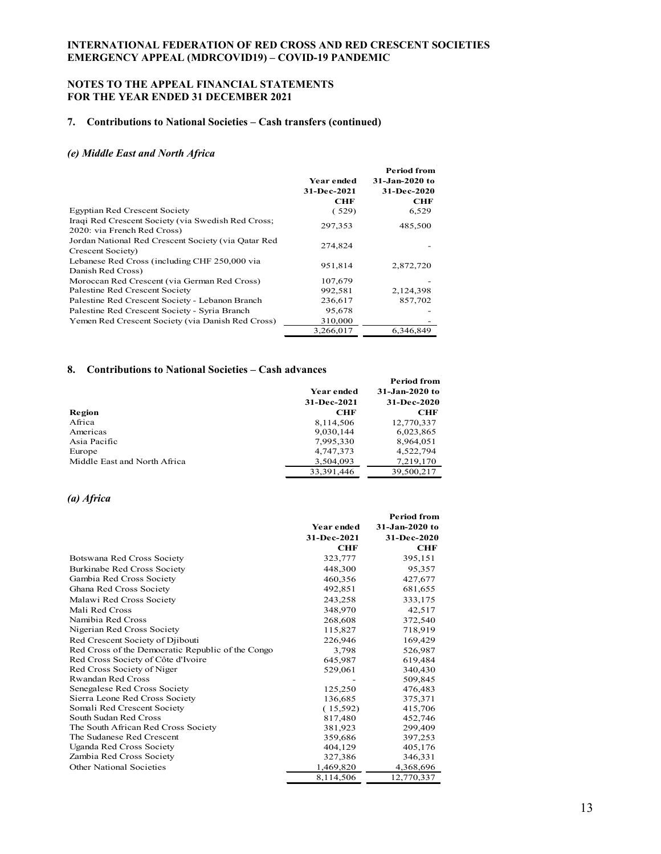### **NOTES TO THE APPEAL FINANCIAL STATEMENTS FOR THE YEAR ENDED 31 DECEMBER 2021**

#### **7. Contributions to National Societies – Cash transfers (continued)**

#### *(e) Middle East and North Africa*

|                                                     |             | <b>Period from</b> |
|-----------------------------------------------------|-------------|--------------------|
|                                                     | Year ended  | 31-Jan-2020 to     |
|                                                     | 31-Dec-2021 | 31-Dec-2020        |
|                                                     | CHF         | CHF                |
| <b>Egyptian Red Crescent Society</b>                | (529)       | 6,529              |
| Iraqi Red Crescent Society (via Swedish Red Cross;  | 297,353     | 485,500            |
| 2020: via French Red Cross)                         |             |                    |
| Jordan National Red Crescent Society (via Qatar Red | 274,824     |                    |
| Crescent Society)                                   |             |                    |
| Lebanese Red Cross (including CHF 250,000 via       | 951,814     | 2,872,720          |
| Danish Red Cross)                                   |             |                    |
| Moroccan Red Crescent (via German Red Cross)        | 107,679     |                    |
| Palestine Red Crescent Society                      | 992,581     | 2,124,398          |
| Palestine Red Crescent Society - Lebanon Branch     | 236,617     | 857,702            |
| Palestine Red Crescent Society - Syria Branch       | 95,678      |                    |
| Yemen Red Crescent Society (via Danish Red Cross)   | 310,000     |                    |
|                                                     | 3,266,017   | 6.346.849          |

#### **8. Contributions to National Societies – Cash advances**

|                              |              | Period from    |
|------------------------------|--------------|----------------|
|                              | Year ended   | 31-Jan-2020 to |
|                              | 31-Dec-2021  | 31-Dec-2020    |
| Region                       | <b>CHF</b>   | <b>CHF</b>     |
| Africa                       | 8,114,506    | 12,770,337     |
| Americas                     | 9,030,144    | 6,023,865      |
| Asia Pacific                 | 7,995,330    | 8,964,051      |
| Europe                       | 4,747,373    | 4,522,794      |
| Middle East and North Africa | 3,504,093    | 7,219,170      |
|                              | 33, 391, 446 | 39,500,217     |

# *(a) Africa*

|                                                   |                   | <b>Period from</b> |
|---------------------------------------------------|-------------------|--------------------|
|                                                   | <b>Year ended</b> | 31-Jan-2020 to     |
|                                                   | 31-Dec-2021       | 31-Dec-2020        |
|                                                   | CHF               | <b>CHF</b>         |
| Botswana Red Cross Society                        | 323,777           | 395,151            |
| Burkinabe Red Cross Society                       | 448,300           | 95,357             |
| Gambia Red Cross Society                          | 460,356           | 427,677            |
| Ghana Red Cross Society                           | 492,851           | 681,655            |
| Malawi Red Cross Society                          | 243,258           | 333,175            |
| Mali Red Cross                                    | 348,970           | 42,517             |
| Namibia Red Cross                                 | 268,608           | 372,540            |
| Nigerian Red Cross Society                        | 115,827           | 718,919            |
| Red Crescent Society of Djibouti                  | 226,946           | 169,429            |
| Red Cross of the Democratic Republic of the Congo | 3,798             | 526,987            |
| Red Cross Society of Côte d'Ivoire                | 645,987           | 619,484            |
| Red Cross Society of Niger                        | 529,061           | 340,430            |
| <b>Rwandan Red Cross</b>                          |                   | 509,845            |
| Senegalese Red Cross Society                      | 125,250           | 476,483            |
| Sierra Leone Red Cross Society                    | 136,685           | 375,371            |
| Somali Red Crescent Society                       | (15,592)          | 415,706            |
| South Sudan Red Cross                             | 817,480           | 452,746            |
| The South African Red Cross Society               | 381,923           | 299,409            |
| The Sudanese Red Crescent                         | 359,686           | 397,253            |
| Uganda Red Cross Society                          | 404,129           | 405,176            |
| Zambia Red Cross Society                          | 327,386           | 346,331            |
| Other National Societies                          | 1,469,820         | 4,368,696          |
|                                                   | 8,114,506         | 12,770,337         |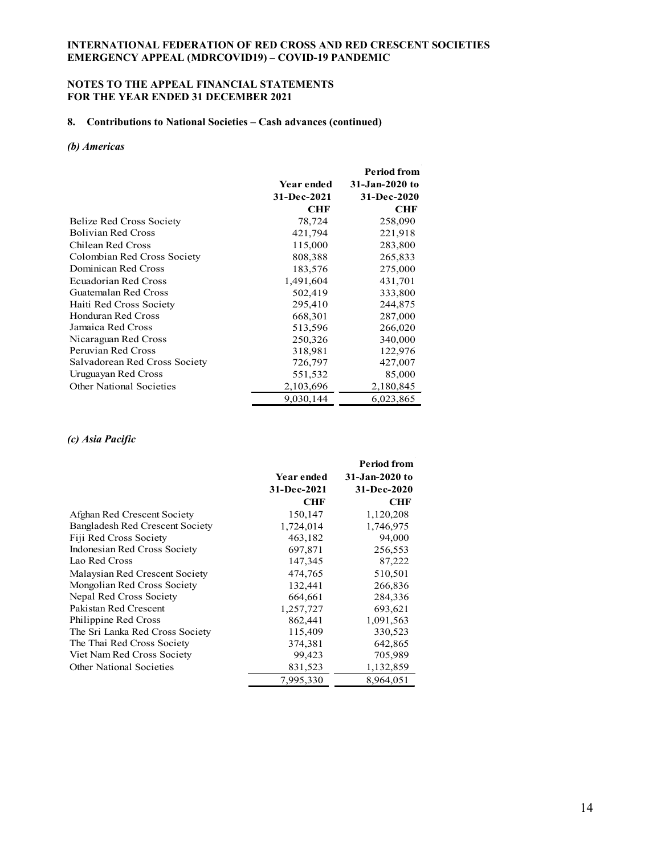### **NOTES TO THE APPEAL FINANCIAL STATEMENTS FOR THE YEAR ENDED 31 DECEMBER 2021**

### **8. Contributions to National Societies – Cash advances (continued)**

#### *(b) Americas*

|                               |             | Period from    |
|-------------------------------|-------------|----------------|
|                               | Year ended  | 31-Jan-2020 to |
|                               | 31-Dec-2021 | 31-Dec-2020    |
|                               | <b>CHF</b>  | <b>CHF</b>     |
| Belize Red Cross Society      | 78,724      | 258,090        |
| <b>Bolivian Red Cross</b>     | 421,794     | 221,918        |
| Chilean Red Cross             | 115,000     | 283,800        |
| Colombian Red Cross Society   | 808,388     | 265,833        |
| Dominican Red Cross           | 183,576     | 275,000        |
| <b>Ecuadorian Red Cross</b>   | 1,491,604   | 431,701        |
| Guatemalan Red Cross          | 502,419     | 333,800        |
| Haiti Red Cross Society       | 295,410     | 244,875        |
| Honduran Red Cross            | 668,301     | 287,000        |
| Jamaica Red Cross             | 513,596     | 266,020        |
| Nicaraguan Red Cross          | 250,326     | 340,000        |
| Peruvian Red Cross            | 318,981     | 122,976        |
| Salvadorean Red Cross Society | 726,797     | 427,007        |
| Uruguayan Red Cross           | 551,532     | 85,000         |
| Other National Societies      | 2,103,696   | 2,180,845      |
|                               | 9,030,144   | 6,023,865      |

### *(c) Asia Pacific*

|                                 |                   | <b>Period from</b> |
|---------------------------------|-------------------|--------------------|
|                                 | <b>Year ended</b> | 31-Jan-2020 to     |
|                                 | 31-Dec-2021       | 31-Dec-2020        |
|                                 | <b>CHF</b>        | <b>CHF</b>         |
| Afghan Red Crescent Society     | 150,147           | 1,120,208          |
| Bangladesh Red Crescent Society | 1,724,014         | 1,746,975          |
| Fiji Red Cross Society          | 463,182           | 94,000             |
| Indonesian Red Cross Society    | 697,871           | 256,553            |
| Lao Red Cross                   | 147,345           | 87,222             |
| Malaysian Red Crescent Society  | 474,765           | 510,501            |
| Mongolian Red Cross Society     | 132,441           | 266,836            |
| Nepal Red Cross Society         | 664,661           | 284,336            |
| Pakistan Red Crescent           | 1,257,727         | 693,621            |
| Philippine Red Cross            | 862,441           | 1,091,563          |
| The Sri Lanka Red Cross Society | 115,409           | 330,523            |
| The Thai Red Cross Society      | 374,381           | 642,865            |
| Viet Nam Red Cross Society      | 99,423            | 705,989            |
| <b>Other National Societies</b> | 831,523           | 1,132,859          |
|                                 | 7,995,330         | 8,964,051          |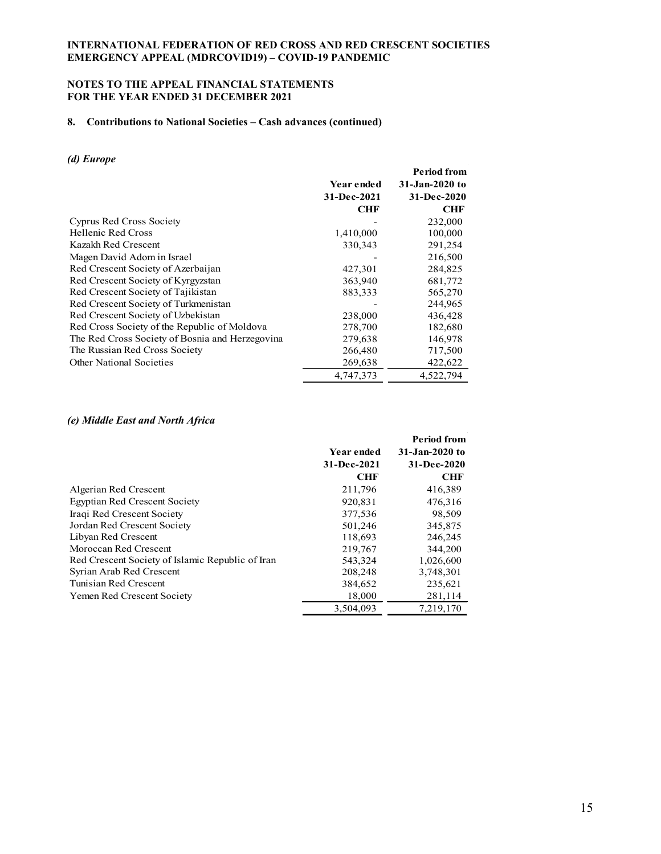### **NOTES TO THE APPEAL FINANCIAL STATEMENTS FOR THE YEAR ENDED 31 DECEMBER 2021**

# **8. Contributions to National Societies – Cash advances (continued)**

#### *(d) Europe*

| u, Lui ope                                      |                                  |                                                     |
|-------------------------------------------------|----------------------------------|-----------------------------------------------------|
|                                                 | <b>Year ended</b><br>31-Dec-2021 | <b>Period from</b><br>31-Jan-2020 to<br>31-Dec-2020 |
|                                                 | <b>CHF</b>                       | <b>CHF</b>                                          |
| <b>Cyprus Red Cross Society</b>                 |                                  | 232,000                                             |
| Hellenic Red Cross                              | 1,410,000                        | 100,000                                             |
| Kazakh Red Crescent                             | 330,343                          | 291,254                                             |
| Magen David Adom in Israel                      |                                  | 216,500                                             |
| Red Crescent Society of Azerbaijan              | 427,301                          | 284,825                                             |
| Red Crescent Society of Kyrgyzstan              | 363,940                          | 681,772                                             |
| Red Crescent Society of Tajikistan              | 883,333                          | 565,270                                             |
| Red Crescent Society of Turkmenistan            |                                  | 244,965                                             |
| Red Crescent Society of Uzbekistan              | 238,000                          | 436,428                                             |
| Red Cross Society of the Republic of Moldova    | 278,700                          | 182,680                                             |
| The Red Cross Society of Bosnia and Herzegovina | 279,638                          | 146,978                                             |
| The Russian Red Cross Society                   | 266,480                          | 717,500                                             |
| Other National Societies                        | 269,638                          | 422,622                                             |
|                                                 | 4,747,373                        | 4,522,794                                           |

#### *(e) Middle East and North Africa*

|                                                  |             | <b>Period from</b> |
|--------------------------------------------------|-------------|--------------------|
|                                                  | Year ended  | 31-Jan-2020 to     |
|                                                  | 31-Dec-2021 | 31-Dec-2020        |
|                                                  | <b>CHF</b>  | <b>CHF</b>         |
| Algerian Red Crescent                            | 211,796     | 416,389            |
| <b>Egyptian Red Crescent Society</b>             | 920,831     | 476,316            |
| Iraqi Red Crescent Society                       | 377,536     | 98,509             |
| Jordan Red Crescent Society                      | 501,246     | 345,875            |
| Libyan Red Crescent                              | 118,693     | 246,245            |
| Moroccan Red Crescent                            | 219,767     | 344,200            |
| Red Crescent Society of Islamic Republic of Iran | 543,324     | 1,026,600          |
| Syrian Arab Red Crescent                         | 208,248     | 3,748,301          |
| Tunisian Red Crescent                            | 384,652     | 235,621            |
| Yemen Red Crescent Society                       | 18,000      | 281,114            |
|                                                  | 3.504.093   | 7.219.170          |